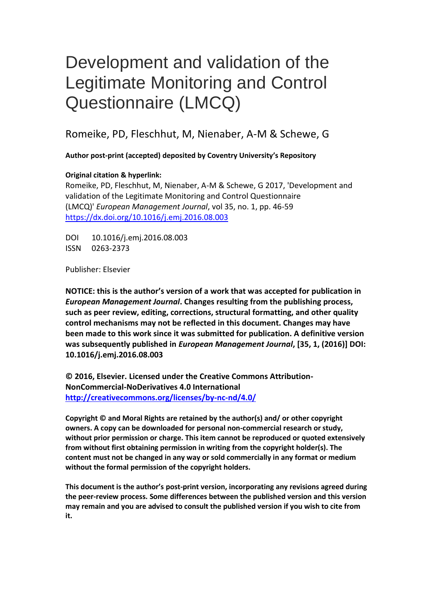# Development and validation of the Legitimate Monitoring and Control Questionnaire (LMCQ)

Romeike, PD, Fleschhut, M, Nienaber, A-M & Schewe, G

**Author post-print (accepted) deposited by Coventry University's Repository**

## **Original citation & hyperlink:**

Romeike, PD, Fleschhut, M, Nienaber, A-M & Schewe, G 2017, 'Development and validation of the Legitimate Monitoring and Control Questionnaire (LMCQ)' *European Management Journal*, vol 35, no. 1, pp. 46-59 <https://dx.doi.org/10.1016/j.emj.2016.08.003>

DOI 10.1016/j.emj.2016.08.003 ISSN 0263-2373

Publisher: Elsevier

**NOTICE: this is the author's version of a work that was accepted for publication in**  *European Management Journal***. Changes resulting from the publishing process, such as peer review, editing, corrections, structural formatting, and other quality control mechanisms may not be reflected in this document. Changes may have been made to this work since it was submitted for publication. A definitive version was subsequently published in** *European Management Journal***, [35, 1, (2016)] DOI: 10.1016/j.emj.2016.08.003**

**© 2016, Elsevier. Licensed under the Creative Commons Attribution-NonCommercial-NoDerivatives 4.0 International <http://creativecommons.org/licenses/by-nc-nd/4.0/>**

**Copyright © and Moral Rights are retained by the author(s) and/ or other copyright owners. A copy can be downloaded for personal non-commercial research or study, without prior permission or charge. This item cannot be reproduced or quoted extensively from without first obtaining permission in writing from the copyright holder(s). The content must not be changed in any way or sold commercially in any format or medium without the formal permission of the copyright holders.** 

**This document is the author's post-print version, incorporating any revisions agreed during the peer-review process. Some differences between the published version and this version may remain and you are advised to consult the published version if you wish to cite from it.**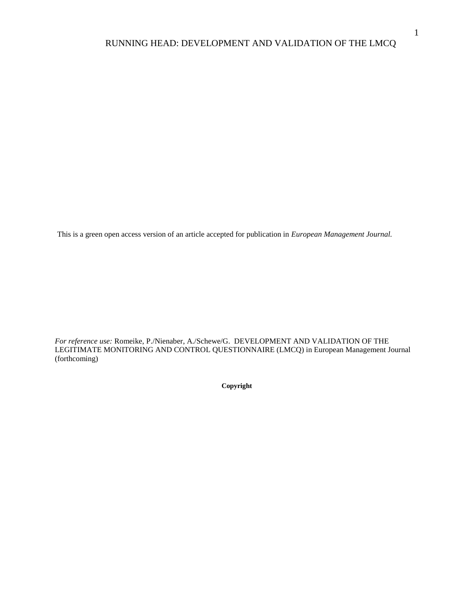This is a green open access version of an article accepted for publication in *European Management Journal.* 

*For reference use:* Romeike, P./Nienaber, A./Schewe/G. DEVELOPMENT AND VALIDATION OF THE LEGITIMATE MONITORING AND CONTROL QUESTIONNAIRE (LMCQ) in European Management Journal (forthcoming)

**Copyright**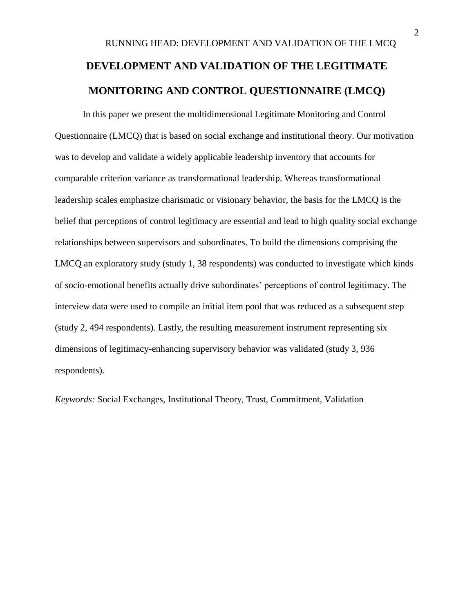# RUNNING HEAD: DEVELOPMENT AND VALIDATION OF THE LMCQ **DEVELOPMENT AND VALIDATION OF THE LEGITIMATE MONITORING AND CONTROL QUESTIONNAIRE (LMCQ)**

In this paper we present the multidimensional Legitimate Monitoring and Control Questionnaire (LMCQ) that is based on social exchange and institutional theory. Our motivation was to develop and validate a widely applicable leadership inventory that accounts for comparable criterion variance as transformational leadership. Whereas transformational leadership scales emphasize charismatic or visionary behavior, the basis for the LMCQ is the belief that perceptions of control legitimacy are essential and lead to high quality social exchange relationships between supervisors and subordinates. To build the dimensions comprising the LMCQ an exploratory study (study 1, 38 respondents) was conducted to investigate which kinds of socio-emotional benefits actually drive subordinates' perceptions of control legitimacy. The interview data were used to compile an initial item pool that was reduced as a subsequent step (study 2, 494 respondents). Lastly, the resulting measurement instrument representing six dimensions of legitimacy-enhancing supervisory behavior was validated (study 3, 936 respondents).

*Keywords:* Social Exchanges, Institutional Theory, Trust, Commitment, Validation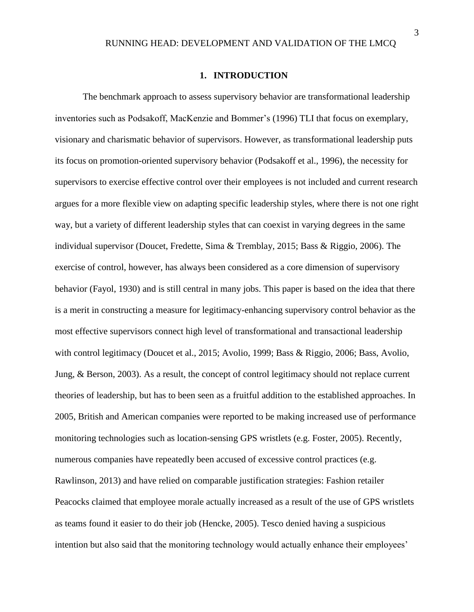#### **1. INTRODUCTION**

The benchmark approach to assess supervisory behavior are transformational leadership inventories such as Podsakoff, MacKenzie and Bommer's (1996) TLI that focus on exemplary, visionary and charismatic behavior of supervisors. However, as transformational leadership puts its focus on promotion-oriented supervisory behavior (Podsakoff et al., 1996), the necessity for supervisors to exercise effective control over their employees is not included and current research argues for a more flexible view on adapting specific leadership styles, where there is not one right way, but a variety of different leadership styles that can coexist in varying degrees in the same individual supervisor (Doucet, Fredette, Sima & Tremblay, 2015; Bass & Riggio, 2006). The exercise of control, however, has always been considered as a core dimension of supervisory behavior (Fayol, 1930) and is still central in many jobs. This paper is based on the idea that there is a merit in constructing a measure for legitimacy-enhancing supervisory control behavior as the most effective supervisors connect high level of transformational and transactional leadership with control legitimacy (Doucet et al., 2015; Avolio, 1999; Bass & Riggio, 2006; Bass, Avolio, Jung, & Berson, 2003). As a result, the concept of control legitimacy should not replace current theories of leadership, but has to been seen as a fruitful addition to the established approaches. In 2005, British and American companies were reported to be making increased use of performance monitoring technologies such as location-sensing GPS wristlets (e.g. Foster, 2005). Recently, numerous companies have repeatedly been accused of excessive control practices (e.g. Rawlinson, 2013) and have relied on comparable justification strategies: Fashion retailer Peacocks claimed that employee morale actually increased as a result of the use of GPS wristlets as teams found it easier to do their job (Hencke, 2005). Tesco denied having a suspicious intention but also said that the monitoring technology would actually enhance their employees'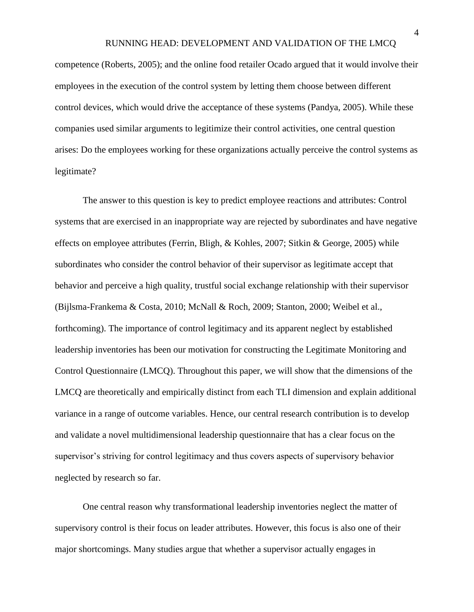competence (Roberts, 2005); and the online food retailer Ocado argued that it would involve their employees in the execution of the control system by letting them choose between different control devices, which would drive the acceptance of these systems (Pandya, 2005). While these companies used similar arguments to legitimize their control activities, one central question arises: Do the employees working for these organizations actually perceive the control systems as legitimate?

The answer to this question is key to predict employee reactions and attributes: Control systems that are exercised in an inappropriate way are rejected by subordinates and have negative effects on employee attributes (Ferrin, Bligh, & Kohles, 2007; Sitkin & George, 2005) while subordinates who consider the control behavior of their supervisor as legitimate accept that behavior and perceive a high quality, trustful social exchange relationship with their supervisor (Bijlsma-Frankema & Costa, 2010; McNall & Roch, 2009; Stanton, 2000; Weibel et al., forthcoming). The importance of control legitimacy and its apparent neglect by established leadership inventories has been our motivation for constructing the Legitimate Monitoring and Control Questionnaire (LMCQ). Throughout this paper, we will show that the dimensions of the LMCQ are theoretically and empirically distinct from each TLI dimension and explain additional variance in a range of outcome variables. Hence, our central research contribution is to develop and validate a novel multidimensional leadership questionnaire that has a clear focus on the supervisor's striving for control legitimacy and thus covers aspects of supervisory behavior neglected by research so far.

One central reason why transformational leadership inventories neglect the matter of supervisory control is their focus on leader attributes. However, this focus is also one of their major shortcomings. Many studies argue that whether a supervisor actually engages in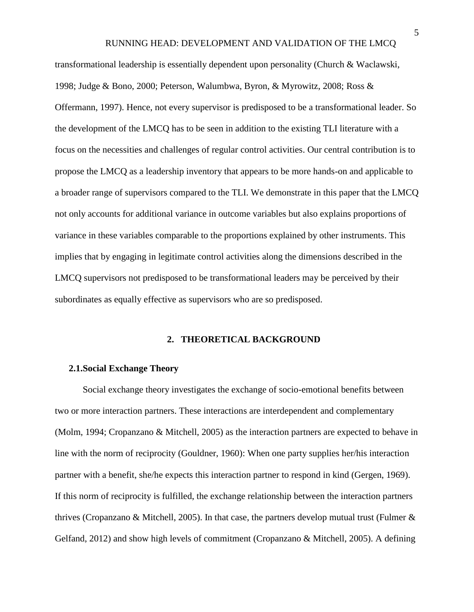transformational leadership is essentially dependent upon personality (Church & Waclawski, 1998; Judge & Bono, 2000; Peterson, Walumbwa, Byron, & Myrowitz, 2008; Ross & Offermann, 1997). Hence, not every supervisor is predisposed to be a transformational leader. So the development of the LMCQ has to be seen in addition to the existing TLI literature with a focus on the necessities and challenges of regular control activities. Our central contribution is to propose the LMCQ as a leadership inventory that appears to be more hands-on and applicable to a broader range of supervisors compared to the TLI. We demonstrate in this paper that the LMCQ not only accounts for additional variance in outcome variables but also explains proportions of variance in these variables comparable to the proportions explained by other instruments. This implies that by engaging in legitimate control activities along the dimensions described in the LMCQ supervisors not predisposed to be transformational leaders may be perceived by their subordinates as equally effective as supervisors who are so predisposed.

#### **2. THEORETICAL BACKGROUND**

#### **2.1.Social Exchange Theory**

Social exchange theory investigates the exchange of socio-emotional benefits between two or more interaction partners. These interactions are interdependent and complementary (Molm, 1994; Cropanzano & Mitchell, 2005) as the interaction partners are expected to behave in line with the norm of reciprocity (Gouldner, 1960): When one party supplies her/his interaction partner with a benefit, she/he expects this interaction partner to respond in kind (Gergen, 1969). If this norm of reciprocity is fulfilled, the exchange relationship between the interaction partners thrives (Cropanzano & Mitchell, 2005). In that case, the partners develop mutual trust (Fulmer & Gelfand, 2012) and show high levels of commitment (Cropanzano & Mitchell, 2005). A defining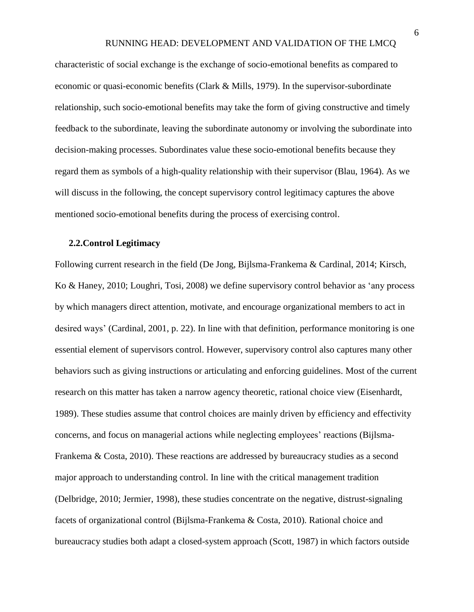characteristic of social exchange is the exchange of socio-emotional benefits as compared to economic or quasi-economic benefits (Clark & Mills, 1979). In the supervisor-subordinate relationship, such socio-emotional benefits may take the form of giving constructive and timely feedback to the subordinate, leaving the subordinate autonomy or involving the subordinate into decision-making processes. Subordinates value these socio-emotional benefits because they regard them as symbols of a high-quality relationship with their supervisor (Blau, 1964). As we will discuss in the following, the concept supervisory control legitimacy captures the above mentioned socio-emotional benefits during the process of exercising control.

#### **2.2.Control Legitimacy**

Following current research in the field (De Jong, Bijlsma-Frankema & Cardinal, 2014; Kirsch, Ko & Haney, 2010; Loughri, Tosi, 2008) we define supervisory control behavior as 'any process by which managers direct attention, motivate, and encourage organizational members to act in desired ways' (Cardinal, 2001, p. 22). In line with that definition, performance monitoring is one essential element of supervisors control. However, supervisory control also captures many other behaviors such as giving instructions or articulating and enforcing guidelines. Most of the current research on this matter has taken a narrow agency theoretic, rational choice view (Eisenhardt, 1989). These studies assume that control choices are mainly driven by efficiency and effectivity concerns, and focus on managerial actions while neglecting employees' reactions (Bijlsma-Frankema & Costa, 2010). These reactions are addressed by bureaucracy studies as a second major approach to understanding control. In line with the critical management tradition (Delbridge, 2010; Jermier, 1998), these studies concentrate on the negative, distrust-signaling facets of organizational control (Bijlsma-Frankema & Costa, 2010). Rational choice and bureaucracy studies both adapt a closed-system approach (Scott, 1987) in which factors outside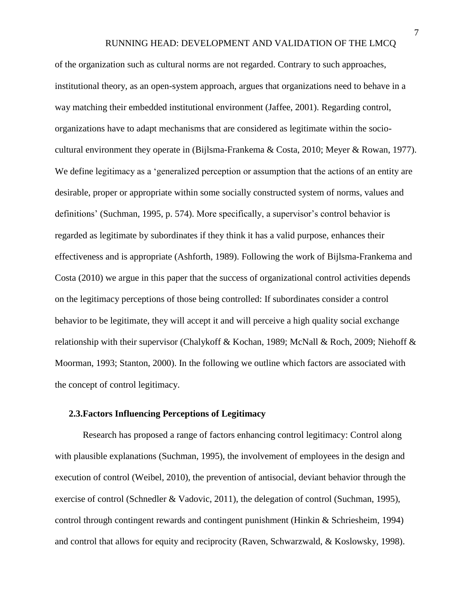of the organization such as cultural norms are not regarded. Contrary to such approaches, institutional theory, as an open-system approach, argues that organizations need to behave in a way matching their embedded institutional environment (Jaffee, 2001). Regarding control, organizations have to adapt mechanisms that are considered as legitimate within the sociocultural environment they operate in (Bijlsma-Frankema & Costa, 2010; Meyer & Rowan, 1977). We define legitimacy as a 'generalized perception or assumption that the actions of an entity are desirable, proper or appropriate within some socially constructed system of norms, values and definitions' (Suchman, 1995, p. 574). More specifically, a supervisor's control behavior is regarded as legitimate by subordinates if they think it has a valid purpose, enhances their effectiveness and is appropriate (Ashforth, 1989). Following the work of Bijlsma-Frankema and Costa (2010) we argue in this paper that the success of organizational control activities depends on the legitimacy perceptions of those being controlled: If subordinates consider a control behavior to be legitimate, they will accept it and will perceive a high quality social exchange relationship with their supervisor (Chalykoff & Kochan, 1989; McNall & Roch, 2009; Niehoff & Moorman, 1993; Stanton, 2000). In the following we outline which factors are associated with the concept of control legitimacy.

## **2.3.Factors Influencing Perceptions of Legitimacy**

Research has proposed a range of factors enhancing control legitimacy: Control along with plausible explanations (Suchman, 1995), the involvement of employees in the design and execution of control (Weibel, 2010), the prevention of antisocial, deviant behavior through the exercise of control (Schnedler & Vadovic, 2011), the delegation of control (Suchman, 1995), control through contingent rewards and contingent punishment (Hinkin & Schriesheim, 1994) and control that allows for equity and reciprocity (Raven, Schwarzwald, & Koslowsky, 1998).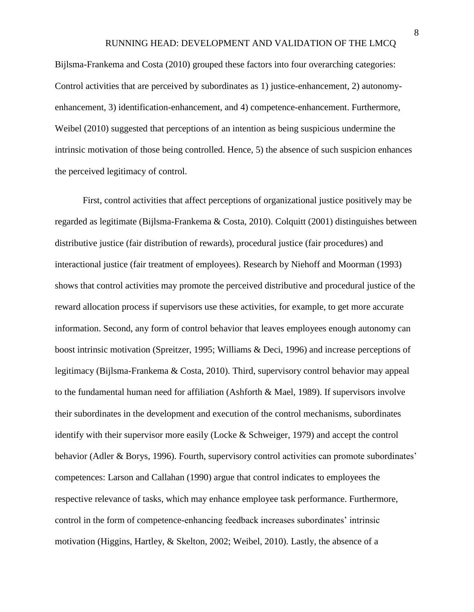Bijlsma-Frankema and Costa (2010) grouped these factors into four overarching categories: Control activities that are perceived by subordinates as 1) justice-enhancement, 2) autonomyenhancement, 3) identification-enhancement, and 4) competence-enhancement. Furthermore, Weibel (2010) suggested that perceptions of an intention as being suspicious undermine the intrinsic motivation of those being controlled. Hence, 5) the absence of such suspicion enhances the perceived legitimacy of control.

First, control activities that affect perceptions of organizational justice positively may be regarded as legitimate (Bijlsma-Frankema & Costa, 2010). Colquitt (2001) distinguishes between distributive justice (fair distribution of rewards), procedural justice (fair procedures) and interactional justice (fair treatment of employees). Research by Niehoff and Moorman (1993) shows that control activities may promote the perceived distributive and procedural justice of the reward allocation process if supervisors use these activities, for example, to get more accurate information. Second, any form of control behavior that leaves employees enough autonomy can boost intrinsic motivation (Spreitzer, 1995; Williams & Deci, 1996) and increase perceptions of legitimacy (Bijlsma-Frankema & Costa, 2010). Third, supervisory control behavior may appeal to the fundamental human need for affiliation (Ashforth & Mael, 1989). If supervisors involve their subordinates in the development and execution of the control mechanisms, subordinates identify with their supervisor more easily (Locke & Schweiger, 1979) and accept the control behavior (Adler & Borys, 1996). Fourth, supervisory control activities can promote subordinates' competences: Larson and Callahan (1990) argue that control indicates to employees the respective relevance of tasks, which may enhance employee task performance. Furthermore, control in the form of competence-enhancing feedback increases subordinates' intrinsic motivation (Higgins, Hartley, & Skelton, 2002; Weibel, 2010). Lastly, the absence of a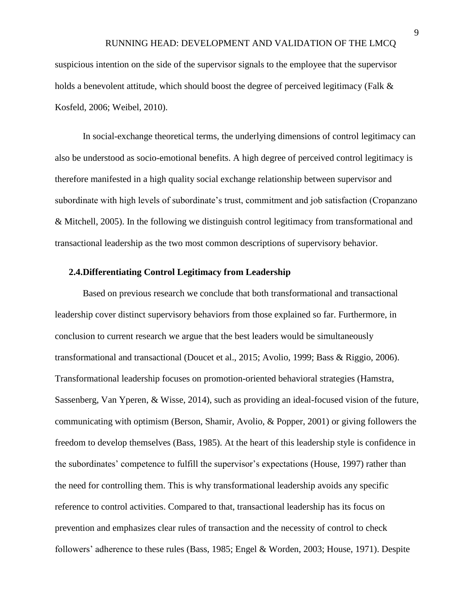suspicious intention on the side of the supervisor signals to the employee that the supervisor holds a benevolent attitude, which should boost the degree of perceived legitimacy (Falk & Kosfeld, 2006; Weibel, 2010).

In social-exchange theoretical terms, the underlying dimensions of control legitimacy can also be understood as socio-emotional benefits. A high degree of perceived control legitimacy is therefore manifested in a high quality social exchange relationship between supervisor and subordinate with high levels of subordinate's trust, commitment and job satisfaction (Cropanzano & Mitchell, 2005). In the following we distinguish control legitimacy from transformational and transactional leadership as the two most common descriptions of supervisory behavior.

#### **2.4.Differentiating Control Legitimacy from Leadership**

Based on previous research we conclude that both transformational and transactional leadership cover distinct supervisory behaviors from those explained so far. Furthermore, in conclusion to current research we argue that the best leaders would be simultaneously transformational and transactional (Doucet et al., 2015; Avolio, 1999; Bass & Riggio, 2006). Transformational leadership focuses on promotion-oriented behavioral strategies (Hamstra, Sassenberg, Van Yperen, & Wisse, 2014), such as providing an ideal-focused vision of the future, communicating with optimism (Berson, Shamir, Avolio, & Popper, 2001) or giving followers the freedom to develop themselves (Bass, 1985). At the heart of this leadership style is confidence in the subordinates' competence to fulfill the supervisor's expectations (House, 1997) rather than the need for controlling them. This is why transformational leadership avoids any specific reference to control activities. Compared to that, transactional leadership has its focus on prevention and emphasizes clear rules of transaction and the necessity of control to check followers' adherence to these rules (Bass, 1985; Engel & Worden, 2003; House, 1971). Despite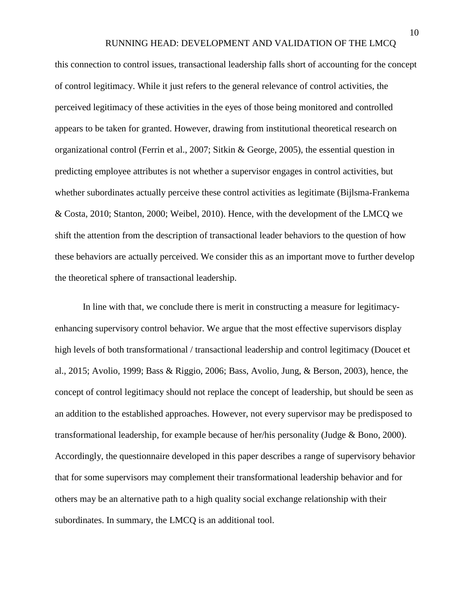this connection to control issues, transactional leadership falls short of accounting for the concept of control legitimacy. While it just refers to the general relevance of control activities, the perceived legitimacy of these activities in the eyes of those being monitored and controlled appears to be taken for granted. However, drawing from institutional theoretical research on organizational control (Ferrin et al., 2007; Sitkin & George, 2005), the essential question in predicting employee attributes is not whether a supervisor engages in control activities, but whether subordinates actually perceive these control activities as legitimate (Bijlsma-Frankema & Costa, 2010; Stanton, 2000; Weibel, 2010). Hence, with the development of the LMCQ we shift the attention from the description of transactional leader behaviors to the question of how these behaviors are actually perceived. We consider this as an important move to further develop the theoretical sphere of transactional leadership.

In line with that, we conclude there is merit in constructing a measure for legitimacyenhancing supervisory control behavior. We argue that the most effective supervisors display high levels of both transformational / transactional leadership and control legitimacy (Doucet et al., 2015; Avolio, 1999; Bass & Riggio, 2006; Bass, Avolio, Jung, & Berson, 2003), hence, the concept of control legitimacy should not replace the concept of leadership, but should be seen as an addition to the established approaches. However, not every supervisor may be predisposed to transformational leadership, for example because of her/his personality (Judge & Bono, 2000). Accordingly, the questionnaire developed in this paper describes a range of supervisory behavior that for some supervisors may complement their transformational leadership behavior and for others may be an alternative path to a high quality social exchange relationship with their subordinates. In summary, the LMCQ is an additional tool.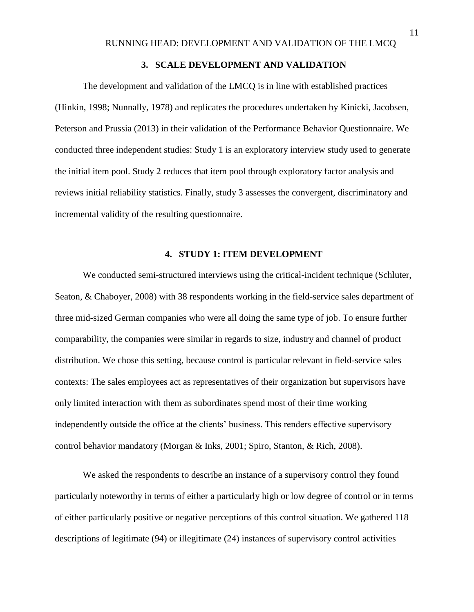## **3. SCALE DEVELOPMENT AND VALIDATION**

The development and validation of the LMCQ is in line with established practices (Hinkin, 1998; Nunnally, 1978) and replicates the procedures undertaken by Kinicki, Jacobsen, Peterson and Prussia (2013) in their validation of the Performance Behavior Questionnaire. We conducted three independent studies: Study 1 is an exploratory interview study used to generate the initial item pool. Study 2 reduces that item pool through exploratory factor analysis and reviews initial reliability statistics. Finally, study 3 assesses the convergent, discriminatory and incremental validity of the resulting questionnaire.

## **4. STUDY 1: ITEM DEVELOPMENT**

We conducted semi-structured interviews using the critical-incident technique (Schluter, Seaton, & Chaboyer, 2008) with 38 respondents working in the field-service sales department of three mid-sized German companies who were all doing the same type of job. To ensure further comparability, the companies were similar in regards to size, industry and channel of product distribution. We chose this setting, because control is particular relevant in field-service sales contexts: The sales employees act as representatives of their organization but supervisors have only limited interaction with them as subordinates spend most of their time working independently outside the office at the clients' business. This renders effective supervisory control behavior mandatory (Morgan & Inks, 2001; Spiro, Stanton, & Rich, 2008).

We asked the respondents to describe an instance of a supervisory control they found particularly noteworthy in terms of either a particularly high or low degree of control or in terms of either particularly positive or negative perceptions of this control situation. We gathered 118 descriptions of legitimate (94) or illegitimate (24) instances of supervisory control activities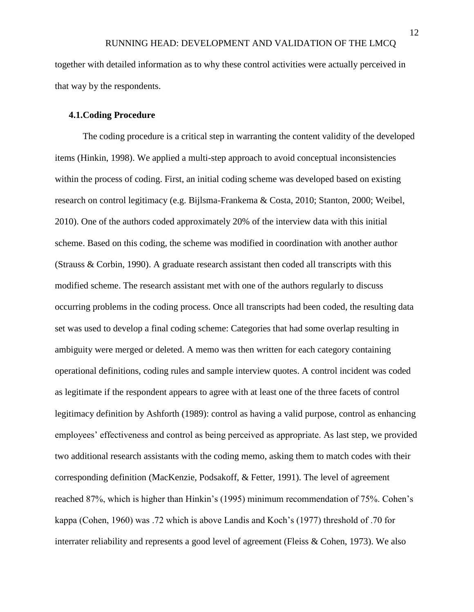together with detailed information as to why these control activities were actually perceived in that way by the respondents.

#### **4.1.Coding Procedure**

The coding procedure is a critical step in warranting the content validity of the developed items (Hinkin, 1998). We applied a multi-step approach to avoid conceptual inconsistencies within the process of coding. First, an initial coding scheme was developed based on existing research on control legitimacy (e.g. Bijlsma-Frankema & Costa, 2010; Stanton, 2000; Weibel, 2010). One of the authors coded approximately 20% of the interview data with this initial scheme. Based on this coding, the scheme was modified in coordination with another author (Strauss & Corbin, 1990). A graduate research assistant then coded all transcripts with this modified scheme. The research assistant met with one of the authors regularly to discuss occurring problems in the coding process. Once all transcripts had been coded, the resulting data set was used to develop a final coding scheme: Categories that had some overlap resulting in ambiguity were merged or deleted. A memo was then written for each category containing operational definitions, coding rules and sample interview quotes. A control incident was coded as legitimate if the respondent appears to agree with at least one of the three facets of control legitimacy definition by Ashforth (1989): control as having a valid purpose, control as enhancing employees' effectiveness and control as being perceived as appropriate. As last step, we provided two additional research assistants with the coding memo, asking them to match codes with their corresponding definition (MacKenzie, Podsakoff, & Fetter, 1991). The level of agreement reached 87%, which is higher than Hinkin's (1995) minimum recommendation of 75%. Cohen's kappa (Cohen, 1960) was .72 which is above Landis and Koch's (1977) threshold of .70 for interrater reliability and represents a good level of agreement (Fleiss & Cohen, 1973). We also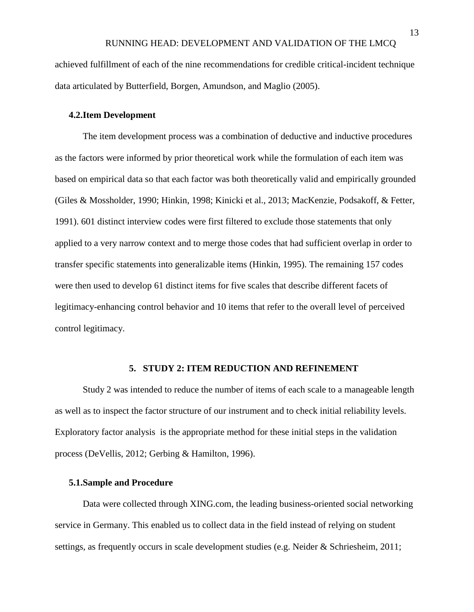achieved fulfillment of each of the nine recommendations for credible critical-incident technique data articulated by Butterfield, Borgen, Amundson, and Maglio (2005).

#### **4.2.Item Development**

The item development process was a combination of deductive and inductive procedures as the factors were informed by prior theoretical work while the formulation of each item was based on empirical data so that each factor was both theoretically valid and empirically grounded (Giles & Mossholder, 1990; Hinkin, 1998; Kinicki et al., 2013; MacKenzie, Podsakoff, & Fetter, 1991). 601 distinct interview codes were first filtered to exclude those statements that only applied to a very narrow context and to merge those codes that had sufficient overlap in order to transfer specific statements into generalizable items (Hinkin, 1995). The remaining 157 codes were then used to develop 61 distinct items for five scales that describe different facets of legitimacy-enhancing control behavior and 10 items that refer to the overall level of perceived control legitimacy.

## **5. STUDY 2: ITEM REDUCTION AND REFINEMENT**

Study 2 was intended to reduce the number of items of each scale to a manageable length as well as to inspect the factor structure of our instrument and to check initial reliability levels. Exploratory factor analysis is the appropriate method for these initial steps in the validation process (DeVellis, 2012; Gerbing & Hamilton, 1996).

#### **5.1.Sample and Procedure**

Data were collected through XING.com, the leading business-oriented social networking service in Germany. This enabled us to collect data in the field instead of relying on student settings, as frequently occurs in scale development studies (e.g. Neider & Schriesheim, 2011;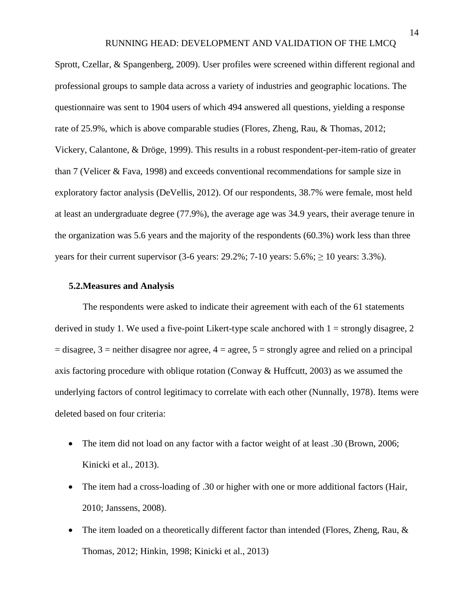Sprott, Czellar, & Spangenberg, 2009). User profiles were screened within different regional and professional groups to sample data across a variety of industries and geographic locations. The questionnaire was sent to 1904 users of which 494 answered all questions, yielding a response rate of 25.9%, which is above comparable studies (Flores, Zheng, Rau, & Thomas, 2012; Vickery, Calantone, & Dröge, 1999). This results in a robust respondent-per-item-ratio of greater than 7 (Velicer & Fava, 1998) and exceeds conventional recommendations for sample size in exploratory factor analysis (DeVellis, 2012). Of our respondents, 38.7% were female, most held at least an undergraduate degree (77.9%), the average age was 34.9 years, their average tenure in the organization was 5.6 years and the majority of the respondents (60.3%) work less than three years for their current supervisor (3-6 years:  $29.2\%$ ;  $7-10$  years:  $5.6\%$ ;  $\geq 10$  years:  $3.3\%$ ).

#### **5.2.Measures and Analysis**

The respondents were asked to indicate their agreement with each of the 61 statements derived in study 1. We used a five-point Likert-type scale anchored with  $1 =$  strongly disagree, 2  $=$  disagree, 3 = neither disagree nor agree, 4 = agree, 5 = strongly agree and relied on a principal axis factoring procedure with oblique rotation (Conway & Huffcutt, 2003) as we assumed the underlying factors of control legitimacy to correlate with each other (Nunnally, 1978). Items were deleted based on four criteria:

- The item did not load on any factor with a factor weight of at least .30 (Brown, 2006; Kinicki et al., 2013).
- The item had a cross-loading of .30 or higher with one or more additional factors (Hair, 2010; Janssens, 2008).
- The item loaded on a theoretically different factor than intended (Flores, Zheng, Rau,  $\&$ Thomas, 2012; Hinkin, 1998; Kinicki et al., 2013)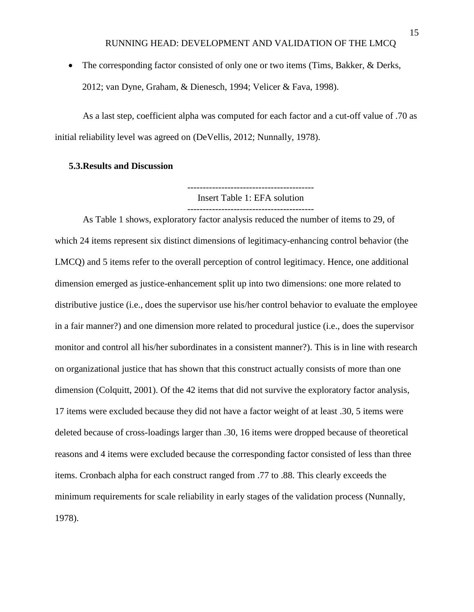The corresponding factor consisted of only one or two items (Tims, Bakker, & Derks, 2012; van Dyne, Graham, & Dienesch, 1994; Velicer & Fava, 1998).

As a last step, coefficient alpha was computed for each factor and a cut-off value of .70 as initial reliability level was agreed on (DeVellis, 2012; Nunnally, 1978).

#### **5.3.Results and Discussion**

----------------------------------------- Insert Table 1: EFA solution -----------------------------------------

As Table 1 shows, exploratory factor analysis reduced the number of items to 29, of which 24 items represent six distinct dimensions of legitimacy-enhancing control behavior (the LMCQ) and 5 items refer to the overall perception of control legitimacy. Hence, one additional dimension emerged as justice-enhancement split up into two dimensions: one more related to distributive justice (i.e., does the supervisor use his/her control behavior to evaluate the employee in a fair manner?) and one dimension more related to procedural justice (i.e., does the supervisor monitor and control all his/her subordinates in a consistent manner?). This is in line with research on organizational justice that has shown that this construct actually consists of more than one dimension (Colquitt, 2001). Of the 42 items that did not survive the exploratory factor analysis, 17 items were excluded because they did not have a factor weight of at least .30, 5 items were deleted because of cross-loadings larger than .30, 16 items were dropped because of theoretical reasons and 4 items were excluded because the corresponding factor consisted of less than three items. Cronbach alpha for each construct ranged from .77 to .88. This clearly exceeds the minimum requirements for scale reliability in early stages of the validation process (Nunnally, 1978).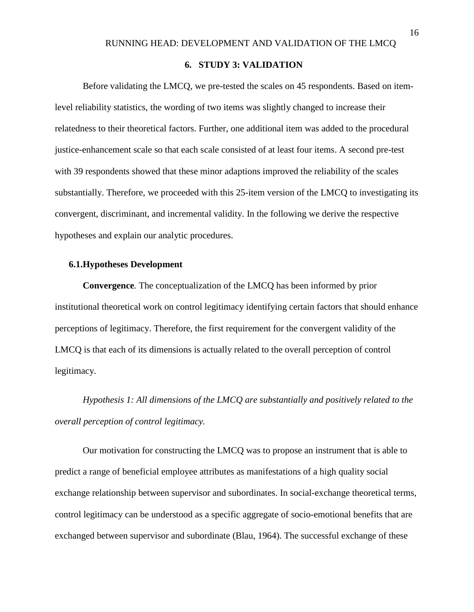## **6. STUDY 3: VALIDATION**

Before validating the LMCQ, we pre-tested the scales on 45 respondents. Based on itemlevel reliability statistics, the wording of two items was slightly changed to increase their relatedness to their theoretical factors. Further, one additional item was added to the procedural justice-enhancement scale so that each scale consisted of at least four items. A second pre-test with 39 respondents showed that these minor adaptions improved the reliability of the scales substantially. Therefore, we proceeded with this 25-item version of the LMCQ to investigating its convergent, discriminant, and incremental validity. In the following we derive the respective hypotheses and explain our analytic procedures.

#### **6.1.Hypotheses Development**

**Convergence***.* The conceptualization of the LMCQ has been informed by prior institutional theoretical work on control legitimacy identifying certain factors that should enhance perceptions of legitimacy. Therefore, the first requirement for the convergent validity of the LMCQ is that each of its dimensions is actually related to the overall perception of control legitimacy.

*Hypothesis 1: All dimensions of the LMCQ are substantially and positively related to the overall perception of control legitimacy.*

Our motivation for constructing the LMCQ was to propose an instrument that is able to predict a range of beneficial employee attributes as manifestations of a high quality social exchange relationship between supervisor and subordinates. In social-exchange theoretical terms, control legitimacy can be understood as a specific aggregate of socio-emotional benefits that are exchanged between supervisor and subordinate (Blau, 1964). The successful exchange of these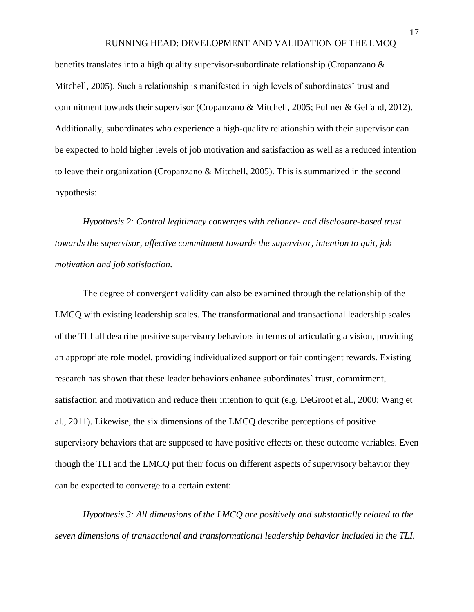benefits translates into a high quality supervisor-subordinate relationship (Cropanzano & Mitchell, 2005). Such a relationship is manifested in high levels of subordinates' trust and commitment towards their supervisor (Cropanzano & Mitchell, 2005; Fulmer & Gelfand, 2012). Additionally, subordinates who experience a high-quality relationship with their supervisor can be expected to hold higher levels of job motivation and satisfaction as well as a reduced intention to leave their organization (Cropanzano & Mitchell, 2005). This is summarized in the second hypothesis:

*Hypothesis 2: Control legitimacy converges with reliance- and disclosure-based trust towards the supervisor, affective commitment towards the supervisor, intention to quit, job motivation and job satisfaction.*

The degree of convergent validity can also be examined through the relationship of the LMCQ with existing leadership scales. The transformational and transactional leadership scales of the TLI all describe positive supervisory behaviors in terms of articulating a vision, providing an appropriate role model, providing individualized support or fair contingent rewards. Existing research has shown that these leader behaviors enhance subordinates' trust, commitment, satisfaction and motivation and reduce their intention to quit (e.g. DeGroot et al., 2000; Wang et al., 2011). Likewise, the six dimensions of the LMCQ describe perceptions of positive supervisory behaviors that are supposed to have positive effects on these outcome variables. Even though the TLI and the LMCQ put their focus on different aspects of supervisory behavior they can be expected to converge to a certain extent:

*Hypothesis 3: All dimensions of the LMCQ are positively and substantially related to the seven dimensions of transactional and transformational leadership behavior included in the TLI.*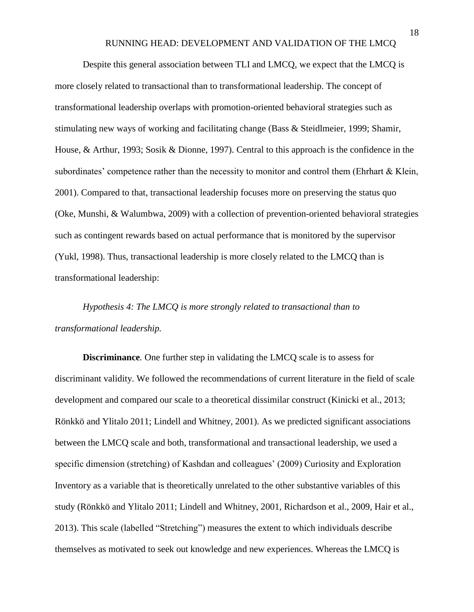Despite this general association between TLI and LMCQ, we expect that the LMCQ is more closely related to transactional than to transformational leadership. The concept of transformational leadership overlaps with promotion-oriented behavioral strategies such as stimulating new ways of working and facilitating change (Bass & Steidlmeier, 1999; Shamir, House, & Arthur, 1993; Sosik & Dionne, 1997). Central to this approach is the confidence in the subordinates' competence rather than the necessity to monitor and control them (Ehrhart & Klein, 2001). Compared to that, transactional leadership focuses more on preserving the status quo (Oke, Munshi, & Walumbwa, 2009) with a collection of prevention-oriented behavioral strategies such as contingent rewards based on actual performance that is monitored by the supervisor (Yukl, 1998). Thus, transactional leadership is more closely related to the LMCQ than is transformational leadership:

*Hypothesis 4: The LMCQ is more strongly related to transactional than to transformational leadership.*

**Discriminance***.* One further step in validating the LMCQ scale is to assess for discriminant validity. We followed the recommendations of current literature in the field of scale development and compared our scale to a theoretical dissimilar construct (Kinicki et al., 2013; Rönkkö and Ylitalo 2011; Lindell and Whitney, 2001). As we predicted significant associations between the LMCQ scale and both, transformational and transactional leadership, we used a specific dimension (stretching) of Kashdan and colleagues' (2009) Curiosity and Exploration Inventory as a variable that is theoretically unrelated to the other substantive variables of this study (Rönkkö and Ylitalo 2011; Lindell and Whitney, 2001, Richardson et al., 2009, Hair et al., 2013). This scale (labelled "Stretching") measures the extent to which individuals describe themselves as motivated to seek out knowledge and new experiences. Whereas the LMCQ is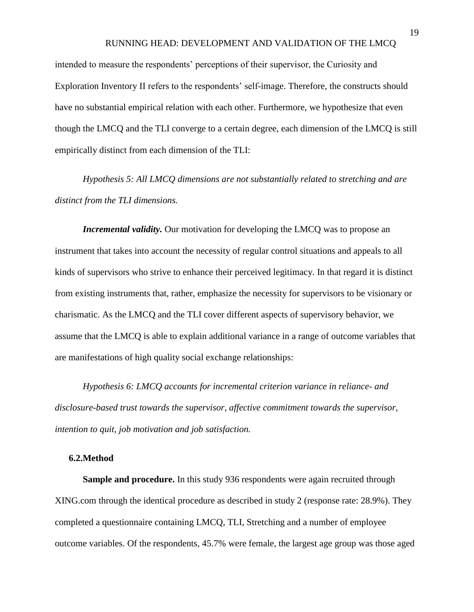intended to measure the respondents' perceptions of their supervisor, the Curiosity and Exploration Inventory II refers to the respondents' self-image. Therefore, the constructs should have no substantial empirical relation with each other. Furthermore, we hypothesize that even though the LMCQ and the TLI converge to a certain degree, each dimension of the LMCQ is still empirically distinct from each dimension of the TLI:

*Hypothesis 5: All LMCQ dimensions are not substantially related to stretching and are distinct from the TLI dimensions.*

*Incremental validity.* Our motivation for developing the LMCQ was to propose an instrument that takes into account the necessity of regular control situations and appeals to all kinds of supervisors who strive to enhance their perceived legitimacy. In that regard it is distinct from existing instruments that, rather, emphasize the necessity for supervisors to be visionary or charismatic. As the LMCQ and the TLI cover different aspects of supervisory behavior, we assume that the LMCQ is able to explain additional variance in a range of outcome variables that are manifestations of high quality social exchange relationships:

*Hypothesis 6: LMCQ accounts for incremental criterion variance in reliance- and disclosure-based trust towards the supervisor, affective commitment towards the supervisor, intention to quit, job motivation and job satisfaction.*

#### **6.2.Method**

**Sample and procedure.** In this study 936 respondents were again recruited through XING.com through the identical procedure as described in study 2 (response rate: 28.9%). They completed a questionnaire containing LMCQ, TLI, Stretching and a number of employee outcome variables. Of the respondents, 45.7% were female, the largest age group was those aged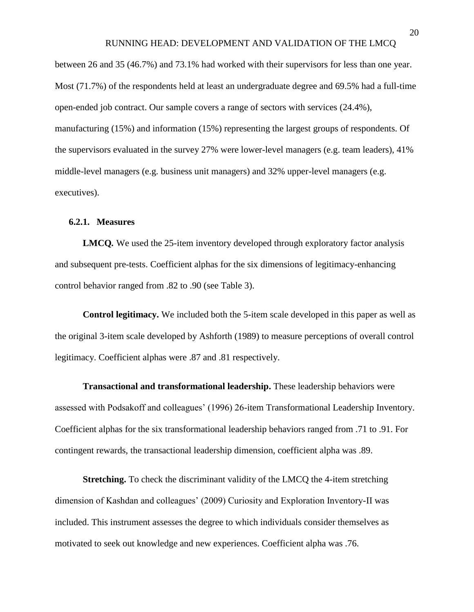between 26 and 35 (46.7%) and 73.1% had worked with their supervisors for less than one year. Most (71.7%) of the respondents held at least an undergraduate degree and 69.5% had a full-time open-ended job contract. Our sample covers a range of sectors with services (24.4%), manufacturing (15%) and information (15%) representing the largest groups of respondents. Of the supervisors evaluated in the survey 27% were lower-level managers (e.g. team leaders), 41% middle-level managers (e.g. business unit managers) and 32% upper-level managers (e.g. executives).

#### **6.2.1. Measures**

**LMCQ***.* We used the 25-item inventory developed through exploratory factor analysis and subsequent pre-tests. Coefficient alphas for the six dimensions of legitimacy-enhancing control behavior ranged from .82 to .90 (see Table 3).

**Control legitimacy.** We included both the 5-item scale developed in this paper as well as the original 3-item scale developed by Ashforth (1989) to measure perceptions of overall control legitimacy. Coefficient alphas were .87 and .81 respectively.

**Transactional and transformational leadership.** These leadership behaviors were assessed with Podsakoff and colleagues' (1996) 26-item Transformational Leadership Inventory. Coefficient alphas for the six transformational leadership behaviors ranged from .71 to .91. For contingent rewards, the transactional leadership dimension, coefficient alpha was .89.

**Stretching.** To check the discriminant validity of the LMCQ the 4-item stretching dimension of Kashdan and colleagues' (2009) Curiosity and Exploration Inventory-II was included. This instrument assesses the degree to which individuals consider themselves as motivated to seek out knowledge and new experiences. Coefficient alpha was .76.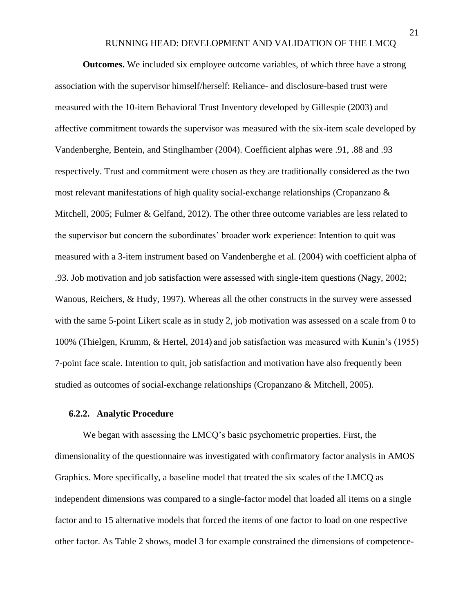**Outcomes.** We included six employee outcome variables, of which three have a strong association with the supervisor himself/herself: Reliance- and disclosure-based trust were measured with the 10-item Behavioral Trust Inventory developed by Gillespie (2003) and affective commitment towards the supervisor was measured with the six-item scale developed by Vandenberghe, Bentein, and Stinglhamber (2004). Coefficient alphas were .91, .88 and .93 respectively. Trust and commitment were chosen as they are traditionally considered as the two most relevant manifestations of high quality social-exchange relationships (Cropanzano & Mitchell, 2005; Fulmer & Gelfand, 2012). The other three outcome variables are less related to the supervisor but concern the subordinates' broader work experience: Intention to quit was measured with a 3-item instrument based on Vandenberghe et al. (2004) with coefficient alpha of .93. Job motivation and job satisfaction were assessed with single-item questions (Nagy, 2002; Wanous, Reichers, & Hudy, 1997). Whereas all the other constructs in the survey were assessed with the same 5-point Likert scale as in study 2, job motivation was assessed on a scale from 0 to 100% (Thielgen, Krumm, & Hertel, 2014) and job satisfaction was measured with Kunin's (1955) 7-point face scale. Intention to quit, job satisfaction and motivation have also frequently been studied as outcomes of social-exchange relationships (Cropanzano & Mitchell, 2005).

#### **6.2.2. Analytic Procedure**

We began with assessing the LMCQ's basic psychometric properties. First, the dimensionality of the questionnaire was investigated with confirmatory factor analysis in AMOS Graphics. More specifically, a baseline model that treated the six scales of the LMCQ as independent dimensions was compared to a single-factor model that loaded all items on a single factor and to 15 alternative models that forced the items of one factor to load on one respective other factor. As Table 2 shows, model 3 for example constrained the dimensions of competence-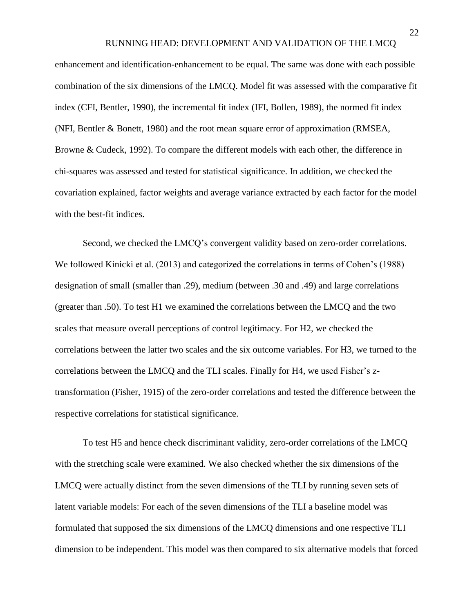enhancement and identification-enhancement to be equal. The same was done with each possible combination of the six dimensions of the LMCQ. Model fit was assessed with the comparative fit index (CFI, Bentler, 1990), the incremental fit index (IFI, Bollen, 1989), the normed fit index (NFI, Bentler & Bonett, 1980) and the root mean square error of approximation (RMSEA, Browne & Cudeck, 1992). To compare the different models with each other, the difference in chi-squares was assessed and tested for statistical significance. In addition, we checked the covariation explained, factor weights and average variance extracted by each factor for the model with the best-fit indices.

Second, we checked the LMCQ's convergent validity based on zero-order correlations. We followed Kinicki et al. (2013) and categorized the correlations in terms of Cohen's (1988) designation of small (smaller than .29), medium (between .30 and .49) and large correlations (greater than .50). To test H1 we examined the correlations between the LMCQ and the two scales that measure overall perceptions of control legitimacy. For H2, we checked the correlations between the latter two scales and the six outcome variables. For H3, we turned to the correlations between the LMCQ and the TLI scales. Finally for H4, we used Fisher's ztransformation (Fisher, 1915) of the zero-order correlations and tested the difference between the respective correlations for statistical significance.

To test H5 and hence check discriminant validity, zero-order correlations of the LMCQ with the stretching scale were examined. We also checked whether the six dimensions of the LMCQ were actually distinct from the seven dimensions of the TLI by running seven sets of latent variable models: For each of the seven dimensions of the TLI a baseline model was formulated that supposed the six dimensions of the LMCQ dimensions and one respective TLI dimension to be independent. This model was then compared to six alternative models that forced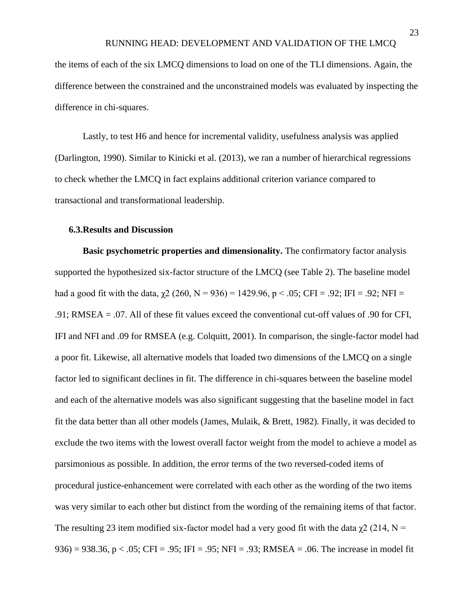the items of each of the six LMCQ dimensions to load on one of the TLI dimensions. Again, the difference between the constrained and the unconstrained models was evaluated by inspecting the difference in chi-squares.

Lastly, to test H6 and hence for incremental validity, usefulness analysis was applied (Darlington, 1990). Similar to Kinicki et al. (2013), we ran a number of hierarchical regressions to check whether the LMCQ in fact explains additional criterion variance compared to transactional and transformational leadership.

#### **6.3.Results and Discussion**

**Basic psychometric properties and dimensionality.** The confirmatory factor analysis supported the hypothesized six-factor structure of the LMCQ (see Table 2). The baseline model had a good fit with the data,  $\chi$ 2 (260, N = 936) = 1429.96, p < .05; CFI = .92; IFI = .92; NFI = .91; RMSEA = .07. All of these fit values exceed the conventional cut-off values of .90 for CFI, IFI and NFI and .09 for RMSEA (e.g. Colquitt, 2001). In comparison, the single-factor model had a poor fit. Likewise, all alternative models that loaded two dimensions of the LMCQ on a single factor led to significant declines in fit. The difference in chi-squares between the baseline model and each of the alternative models was also significant suggesting that the baseline model in fact fit the data better than all other models (James, Mulaik, & Brett, 1982). Finally, it was decided to exclude the two items with the lowest overall factor weight from the model to achieve a model as parsimonious as possible. In addition, the error terms of the two reversed-coded items of procedural justice-enhancement were correlated with each other as the wording of the two items was very similar to each other but distinct from the wording of the remaining items of that factor. The resulting 23 item modified six-factor model had a very good fit with the data  $\gamma$ 2 (214, N = 936) = 938.36, p < .05; CFI = .95; IFI = .95; NFI = .93; RMSEA = .06. The increase in model fit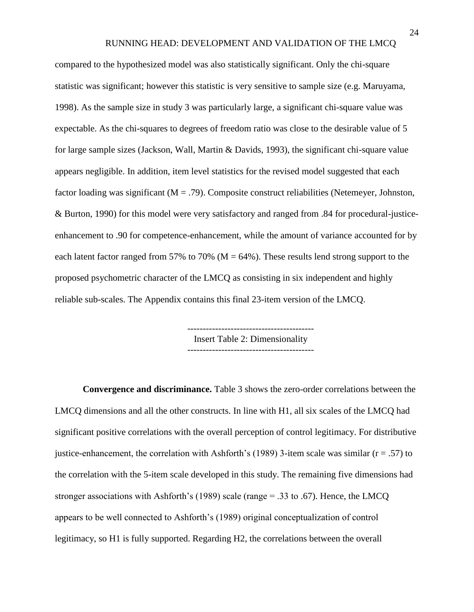compared to the hypothesized model was also statistically significant. Only the chi-square statistic was significant; however this statistic is very sensitive to sample size (e.g. Maruyama, 1998). As the sample size in study 3 was particularly large, a significant chi-square value was expectable. As the chi-squares to degrees of freedom ratio was close to the desirable value of 5 for large sample sizes (Jackson, Wall, Martin & Davids, 1993), the significant chi-square value appears negligible. In addition, item level statistics for the revised model suggested that each factor loading was significant ( $M = .79$ ). Composite construct reliabilities (Netemeyer, Johnston, & Burton, 1990) for this model were very satisfactory and ranged from .84 for procedural-justiceenhancement to .90 for competence-enhancement, while the amount of variance accounted for by each latent factor ranged from 57% to 70% ( $M = 64$ %). These results lend strong support to the proposed psychometric character of the LMCQ as consisting in six independent and highly reliable sub-scales. The Appendix contains this final 23-item version of the LMCQ.

> Insert Table 2: Dimensionality -----------------------------------------

**Convergence and discriminance.** Table 3 shows the zero-order correlations between the LMCQ dimensions and all the other constructs. In line with H1, all six scales of the LMCQ had significant positive correlations with the overall perception of control legitimacy. For distributive justice-enhancement, the correlation with Ashforth's (1989) 3-item scale was similar ( $r = .57$ ) to the correlation with the 5-item scale developed in this study. The remaining five dimensions had stronger associations with Ashforth's (1989) scale (range = .33 to .67). Hence, the LMCQ appears to be well connected to Ashforth's (1989) original conceptualization of control legitimacy, so H1 is fully supported. Regarding H2, the correlations between the overall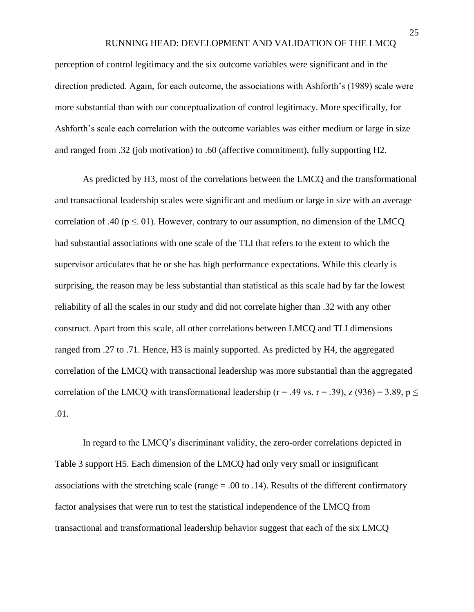perception of control legitimacy and the six outcome variables were significant and in the direction predicted. Again, for each outcome, the associations with Ashforth's (1989) scale were more substantial than with our conceptualization of control legitimacy. More specifically, for Ashforth's scale each correlation with the outcome variables was either medium or large in size and ranged from .32 (job motivation) to .60 (affective commitment), fully supporting H2.

As predicted by H3, most of the correlations between the LMCQ and the transformational and transactional leadership scales were significant and medium or large in size with an average correlation of .40 ( $p \le 01$ ). However, contrary to our assumption, no dimension of the LMCQ had substantial associations with one scale of the TLI that refers to the extent to which the supervisor articulates that he or she has high performance expectations. While this clearly is surprising, the reason may be less substantial than statistical as this scale had by far the lowest reliability of all the scales in our study and did not correlate higher than .32 with any other construct. Apart from this scale, all other correlations between LMCQ and TLI dimensions ranged from .27 to .71. Hence, H3 is mainly supported. As predicted by H4, the aggregated correlation of the LMCQ with transactional leadership was more substantial than the aggregated correlation of the LMCQ with transformational leadership ( $r = .49$  vs.  $r = .39$ ),  $z (936) = 3.89$ ,  $p \le$ .01.

In regard to the LMCQ's discriminant validity, the zero-order correlations depicted in Table 3 support H5. Each dimension of the LMCQ had only very small or insignificant associations with the stretching scale (range  $= .00$  to  $.14$ ). Results of the different confirmatory factor analysises that were run to test the statistical independence of the LMCQ from transactional and transformational leadership behavior suggest that each of the six LMCQ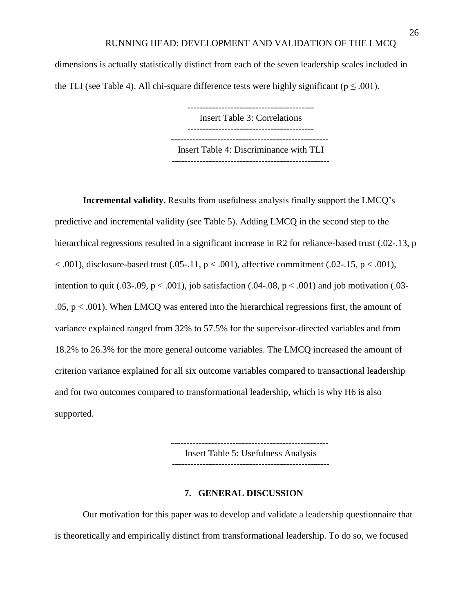dimensions is actually statistically distinct from each of the seven leadership scales included in the TLI (see Table 4). All chi-square difference tests were highly significant ( $p \le 0.001$ ).

> Insert Table 3: Correlations ----------------------------------------- --------------------------------------------------- Insert Table 4: Discriminance with TLI ---------------------------------------------------

**Incremental validity.** Results from usefulness analysis finally support the LMCQ's predictive and incremental validity (see Table 5). Adding LMCQ in the second step to the hierarchical regressions resulted in a significant increase in R2 for reliance-based trust (.02-.13, p  $< .001$ ), disclosure-based trust (.05-.11,  $p < .001$ ), affective commitment (.02-.15,  $p < .001$ ), intention to quit (.03-.09,  $p < .001$ ), job satisfaction (.04-.08,  $p < .001$ ) and job motivation (.03- $.05, p < .001$ ). When LMCQ was entered into the hierarchical regressions first, the amount of variance explained ranged from 32% to 57.5% for the supervisor-directed variables and from 18.2% to 26.3% for the more general outcome variables. The LMCQ increased the amount of criterion variance explained for all six outcome variables compared to transactional leadership and for two outcomes compared to transformational leadership, which is why H6 is also supported.

> --------------------------------------------------- Insert Table 5: Usefulness Analysis ---------------------------------------------------

#### **7. GENERAL DISCUSSION**

Our motivation for this paper was to develop and validate a leadership questionnaire that is theoretically and empirically distinct from transformational leadership. To do so, we focused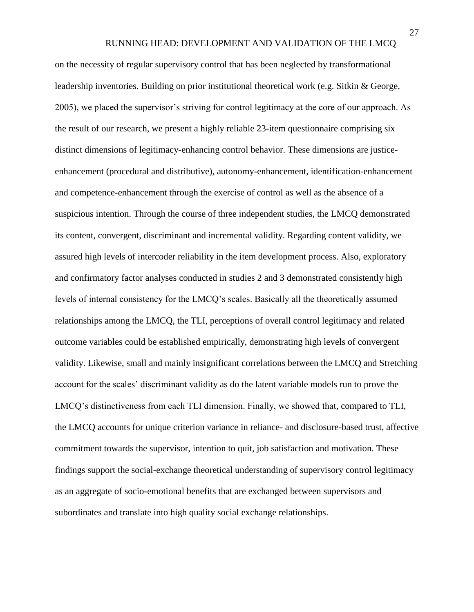on the necessity of regular supervisory control that has been neglected by transformational leadership inventories. Building on prior institutional theoretical work (e.g. Sitkin & George, 2005), we placed the supervisor's striving for control legitimacy at the core of our approach. As the result of our research, we present a highly reliable 23-item questionnaire comprising six distinct dimensions of legitimacy-enhancing control behavior. These dimensions are justiceenhancement (procedural and distributive), autonomy-enhancement, identification-enhancement and competence-enhancement through the exercise of control as well as the absence of a suspicious intention. Through the course of three independent studies, the LMCQ demonstrated its content, convergent, discriminant and incremental validity. Regarding content validity, we assured high levels of intercoder reliability in the item development process. Also, exploratory and confirmatory factor analyses conducted in studies 2 and 3 demonstrated consistently high levels of internal consistency for the LMCQ's scales. Basically all the theoretically assumed relationships among the LMCQ, the TLI, perceptions of overall control legitimacy and related outcome variables could be established empirically, demonstrating high levels of convergent validity. Likewise, small and mainly insignificant correlations between the LMCQ and Stretching account for the scales' discriminant validity as do the latent variable models run to prove the LMCQ's distinctiveness from each TLI dimension. Finally, we showed that, compared to TLI, the LMCQ accounts for unique criterion variance in reliance- and disclosure-based trust, affective commitment towards the supervisor, intention to quit, job satisfaction and motivation. These findings support the social-exchange theoretical understanding of supervisory control legitimacy as an aggregate of socio-emotional benefits that are exchanged between supervisors and subordinates and translate into high quality social exchange relationships.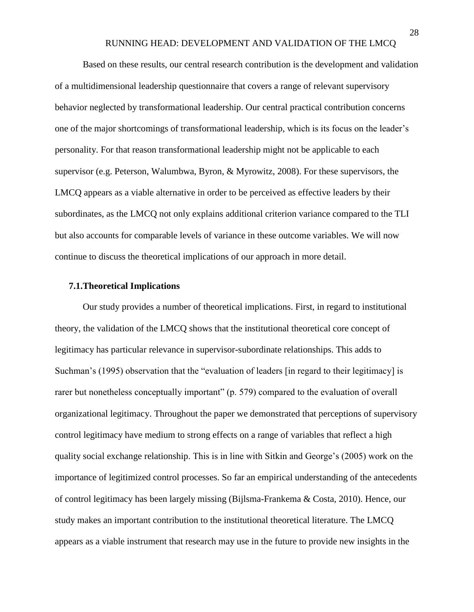Based on these results, our central research contribution is the development and validation of a multidimensional leadership questionnaire that covers a range of relevant supervisory behavior neglected by transformational leadership. Our central practical contribution concerns one of the major shortcomings of transformational leadership, which is its focus on the leader's personality. For that reason transformational leadership might not be applicable to each supervisor (e.g. Peterson, Walumbwa, Byron, & Myrowitz, 2008). For these supervisors, the LMCQ appears as a viable alternative in order to be perceived as effective leaders by their subordinates, as the LMCQ not only explains additional criterion variance compared to the TLI but also accounts for comparable levels of variance in these outcome variables. We will now continue to discuss the theoretical implications of our approach in more detail.

#### **7.1.Theoretical Implications**

Our study provides a number of theoretical implications. First, in regard to institutional theory, the validation of the LMCQ shows that the institutional theoretical core concept of legitimacy has particular relevance in supervisor-subordinate relationships. This adds to Suchman's (1995) observation that the "evaluation of leaders [in regard to their legitimacy] is rarer but nonetheless conceptually important" (p. 579) compared to the evaluation of overall organizational legitimacy. Throughout the paper we demonstrated that perceptions of supervisory control legitimacy have medium to strong effects on a range of variables that reflect a high quality social exchange relationship. This is in line with Sitkin and George's (2005) work on the importance of legitimized control processes. So far an empirical understanding of the antecedents of control legitimacy has been largely missing (Bijlsma-Frankema & Costa, 2010). Hence, our study makes an important contribution to the institutional theoretical literature. The LMCQ appears as a viable instrument that research may use in the future to provide new insights in the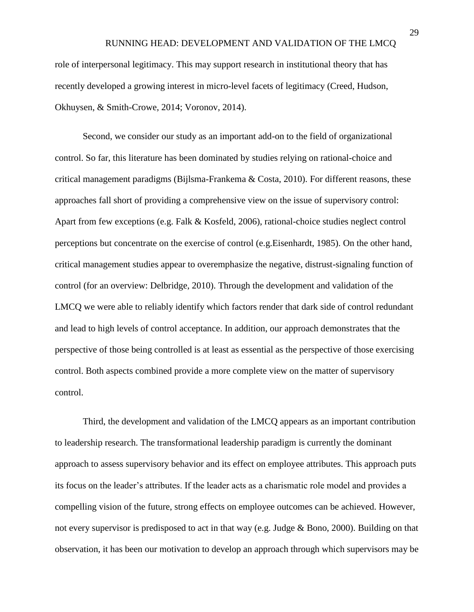role of interpersonal legitimacy. This may support research in institutional theory that has recently developed a growing interest in micro-level facets of legitimacy (Creed, Hudson, Okhuysen, & Smith-Crowe, 2014; Voronov, 2014).

Second, we consider our study as an important add-on to the field of organizational control. So far, this literature has been dominated by studies relying on rational-choice and critical management paradigms (Bijlsma-Frankema & Costa, 2010). For different reasons, these approaches fall short of providing a comprehensive view on the issue of supervisory control: Apart from few exceptions (e.g. Falk & Kosfeld, 2006), rational-choice studies neglect control perceptions but concentrate on the exercise of control (e.g.Eisenhardt, 1985). On the other hand, critical management studies appear to overemphasize the negative, distrust-signaling function of control (for an overview: Delbridge, 2010). Through the development and validation of the LMCQ we were able to reliably identify which factors render that dark side of control redundant and lead to high levels of control acceptance. In addition, our approach demonstrates that the perspective of those being controlled is at least as essential as the perspective of those exercising control. Both aspects combined provide a more complete view on the matter of supervisory control.

Third, the development and validation of the LMCQ appears as an important contribution to leadership research. The transformational leadership paradigm is currently the dominant approach to assess supervisory behavior and its effect on employee attributes. This approach puts its focus on the leader's attributes. If the leader acts as a charismatic role model and provides a compelling vision of the future, strong effects on employee outcomes can be achieved. However, not every supervisor is predisposed to act in that way (e.g. Judge & Bono, 2000). Building on that observation, it has been our motivation to develop an approach through which supervisors may be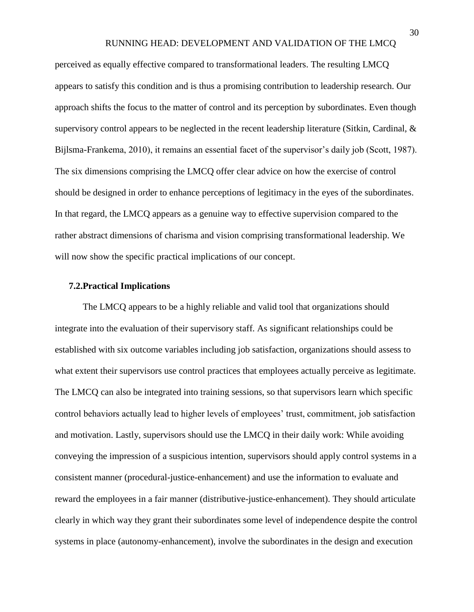perceived as equally effective compared to transformational leaders. The resulting LMCQ appears to satisfy this condition and is thus a promising contribution to leadership research. Our approach shifts the focus to the matter of control and its perception by subordinates. Even though supervisory control appears to be neglected in the recent leadership literature (Sitkin, Cardinal, & Bijlsma-Frankema, 2010), it remains an essential facet of the supervisor's daily job (Scott, 1987). The six dimensions comprising the LMCQ offer clear advice on how the exercise of control should be designed in order to enhance perceptions of legitimacy in the eyes of the subordinates. In that regard, the LMCQ appears as a genuine way to effective supervision compared to the rather abstract dimensions of charisma and vision comprising transformational leadership. We will now show the specific practical implications of our concept.

#### **7.2.Practical Implications**

The LMCQ appears to be a highly reliable and valid tool that organizations should integrate into the evaluation of their supervisory staff. As significant relationships could be established with six outcome variables including job satisfaction, organizations should assess to what extent their supervisors use control practices that employees actually perceive as legitimate. The LMCQ can also be integrated into training sessions, so that supervisors learn which specific control behaviors actually lead to higher levels of employees' trust, commitment, job satisfaction and motivation. Lastly, supervisors should use the LMCQ in their daily work: While avoiding conveying the impression of a suspicious intention, supervisors should apply control systems in a consistent manner (procedural-justice-enhancement) and use the information to evaluate and reward the employees in a fair manner (distributive-justice-enhancement). They should articulate clearly in which way they grant their subordinates some level of independence despite the control systems in place (autonomy-enhancement), involve the subordinates in the design and execution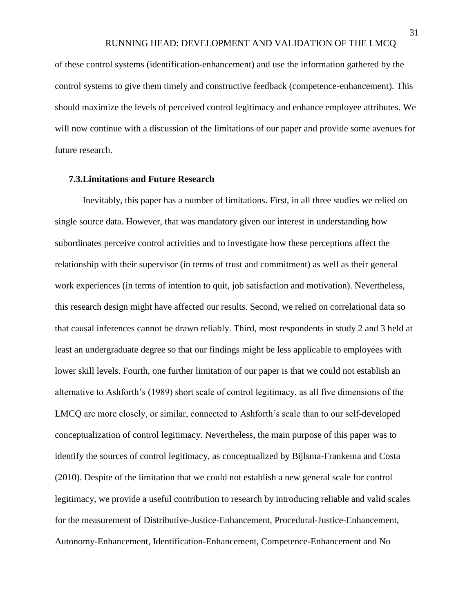of these control systems (identification-enhancement) and use the information gathered by the control systems to give them timely and constructive feedback (competence-enhancement). This should maximize the levels of perceived control legitimacy and enhance employee attributes. We will now continue with a discussion of the limitations of our paper and provide some avenues for future research.

#### **7.3.Limitations and Future Research**

Inevitably, this paper has a number of limitations. First, in all three studies we relied on single source data. However, that was mandatory given our interest in understanding how subordinates perceive control activities and to investigate how these perceptions affect the relationship with their supervisor (in terms of trust and commitment) as well as their general work experiences (in terms of intention to quit, job satisfaction and motivation). Nevertheless, this research design might have affected our results. Second, we relied on correlational data so that causal inferences cannot be drawn reliably. Third, most respondents in study 2 and 3 held at least an undergraduate degree so that our findings might be less applicable to employees with lower skill levels. Fourth, one further limitation of our paper is that we could not establish an alternative to Ashforth's (1989) short scale of control legitimacy, as all five dimensions of the LMCQ are more closely, or similar, connected to Ashforth's scale than to our self-developed conceptualization of control legitimacy. Nevertheless, the main purpose of this paper was to identify the sources of control legitimacy, as conceptualized by Bijlsma-Frankema and Costa (2010). Despite of the limitation that we could not establish a new general scale for control legitimacy, we provide a useful contribution to research by introducing reliable and valid scales for the measurement of Distributive-Justice-Enhancement, Procedural-Justice-Enhancement, Autonomy-Enhancement, Identification-Enhancement, Competence-Enhancement and No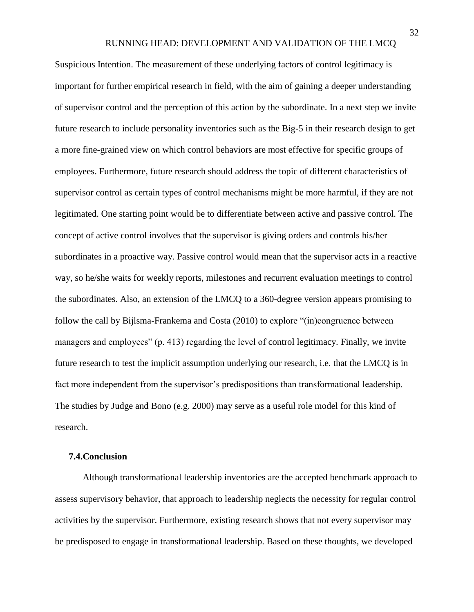Suspicious Intention. The measurement of these underlying factors of control legitimacy is important for further empirical research in field, with the aim of gaining a deeper understanding of supervisor control and the perception of this action by the subordinate. In a next step we invite future research to include personality inventories such as the Big-5 in their research design to get a more fine-grained view on which control behaviors are most effective for specific groups of employees. Furthermore, future research should address the topic of different characteristics of supervisor control as certain types of control mechanisms might be more harmful, if they are not legitimated. One starting point would be to differentiate between active and passive control. The concept of active control involves that the supervisor is giving orders and controls his/her subordinates in a proactive way. Passive control would mean that the supervisor acts in a reactive way, so he/she waits for weekly reports, milestones and recurrent evaluation meetings to control the subordinates. Also, an extension of the LMCQ to a 360-degree version appears promising to follow the call by Bijlsma-Frankema and Costa (2010) to explore "(in)congruence between managers and employees" (p. 413) regarding the level of control legitimacy. Finally, we invite future research to test the implicit assumption underlying our research, i.e. that the LMCQ is in fact more independent from the supervisor's predispositions than transformational leadership. The studies by Judge and Bono (e.g. 2000) may serve as a useful role model for this kind of research.

#### **7.4.Conclusion**

Although transformational leadership inventories are the accepted benchmark approach to assess supervisory behavior, that approach to leadership neglects the necessity for regular control activities by the supervisor. Furthermore, existing research shows that not every supervisor may be predisposed to engage in transformational leadership. Based on these thoughts, we developed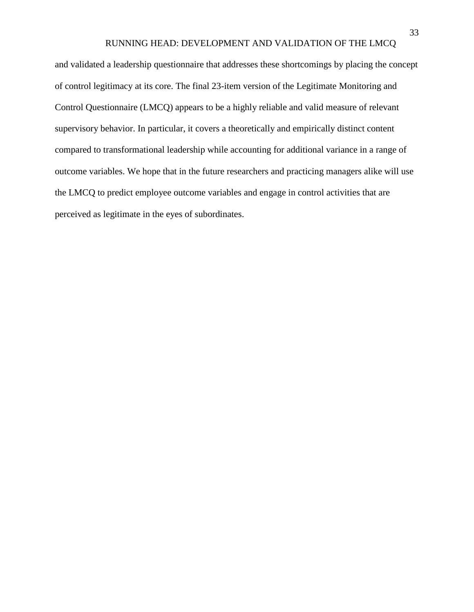and validated a leadership questionnaire that addresses these shortcomings by placing the concept of control legitimacy at its core. The final 23-item version of the Legitimate Monitoring and Control Questionnaire (LMCQ) appears to be a highly reliable and valid measure of relevant supervisory behavior. In particular, it covers a theoretically and empirically distinct content compared to transformational leadership while accounting for additional variance in a range of outcome variables. We hope that in the future researchers and practicing managers alike will use the LMCQ to predict employee outcome variables and engage in control activities that are perceived as legitimate in the eyes of subordinates.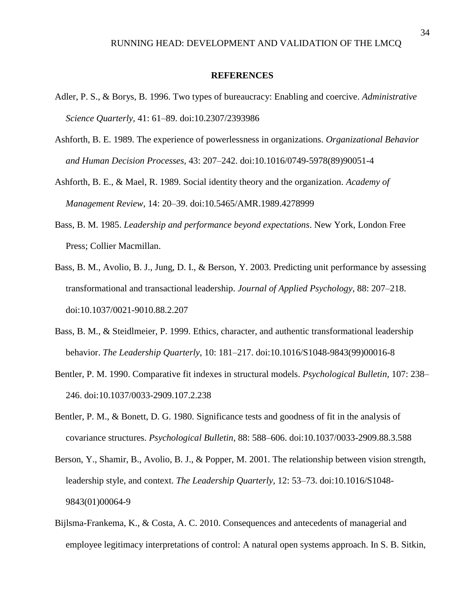#### **REFERENCES**

- Adler, P. S., & Borys, B. 1996. Two types of bureaucracy: Enabling and coercive. *Administrative Science Quarterly,* 41: 61–89. doi:10.2307/2393986
- Ashforth, B. E. 1989. The experience of powerlessness in organizations. *Organizational Behavior and Human Decision Processes,* 43: 207–242. doi:10.1016/0749-5978(89)90051-4
- Ashforth, B. E., & Mael, R. 1989. Social identity theory and the organization. *Academy of Management Review,* 14: 20–39. doi:10.5465/AMR.1989.4278999
- Bass, B. M. 1985. *Leadership and performance beyond expectations*. New York, London: Free Press; Collier Macmillan.
- Bass, B. M., Avolio, B. J., Jung, D. I., & Berson, Y. 2003. Predicting unit performance by assessing transformational and transactional leadership. *Journal of Applied Psychology,* 88: 207–218. doi:10.1037/0021-9010.88.2.207
- Bass, B. M., & Steidlmeier, P. 1999. Ethics, character, and authentic transformational leadership behavior. *The Leadership Quarterly,* 10: 181–217. doi:10.1016/S1048-9843(99)00016-8
- Bentler, P. M. 1990. Comparative fit indexes in structural models. *Psychological Bulletin,* 107: 238– 246. doi:10.1037/0033-2909.107.2.238
- Bentler, P. M., & Bonett, D. G. 1980. Significance tests and goodness of fit in the analysis of covariance structures. *Psychological Bulletin,* 88: 588–606. doi:10.1037/0033-2909.88.3.588
- Berson, Y., Shamir, B., Avolio, B. J., & Popper, M. 2001. The relationship between vision strength, leadership style, and context. *The Leadership Quarterly,* 12: 53–73. doi:10.1016/S1048- 9843(01)00064-9
- Bijlsma-Frankema, K., & Costa, A. C. 2010. Consequences and antecedents of managerial and employee legitimacy interpretations of control: A natural open systems approach. In S. B. Sitkin,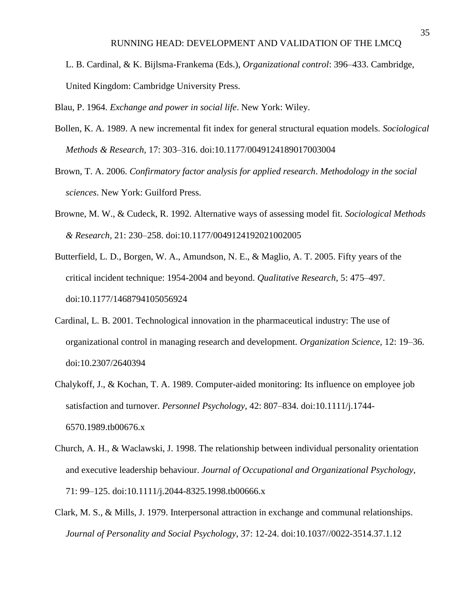L. B. Cardinal, & K. Bijlsma-Frankema (Eds.), *Organizational control*: 396–433. Cambridge, United Kingdom: Cambridge University Press.

Blau, P. 1964. *Exchange and power in social life*. New York: Wiley.

- Bollen, K. A. 1989. A new incremental fit index for general structural equation models. *Sociological Methods & Research,* 17: 303–316. doi:10.1177/0049124189017003004
- Brown, T. A. 2006. *Confirmatory factor analysis for applied research*. *Methodology in the social sciences*. New York: Guilford Press.
- Browne, M. W., & Cudeck, R. 1992. Alternative ways of assessing model fit. *Sociological Methods & Research,* 21: 230–258. doi:10.1177/0049124192021002005
- Butterfield, L. D., Borgen, W. A., Amundson, N. E., & Maglio, A. T. 2005. Fifty years of the critical incident technique: 1954-2004 and beyond. *Qualitative Research,* 5: 475–497. doi:10.1177/1468794105056924
- Cardinal, L. B. 2001. Technological innovation in the pharmaceutical industry: The use of organizational control in managing research and development. *Organization Science,* 12: 19–36. doi:10.2307/2640394
- Chalykoff, J., & Kochan, T. A. 1989. Computer-aided monitoring: Its influence on employee job satisfaction and turnover. *Personnel Psychology,* 42: 807–834. doi:10.1111/j.1744- 6570.1989.tb00676.x
- Church, A. H., & Waclawski, J. 1998. The relationship between individual personality orientation and executive leadership behaviour. *Journal of Occupational and Organizational Psychology,*  71: 99–125. doi:10.1111/j.2044-8325.1998.tb00666.x
- Clark, M. S., & Mills, J. 1979. Interpersonal attraction in exchange and communal relationships. *Journal of Personality and Social Psychology*, 37: 12-24. doi:10.1037//0022-3514.37.1.12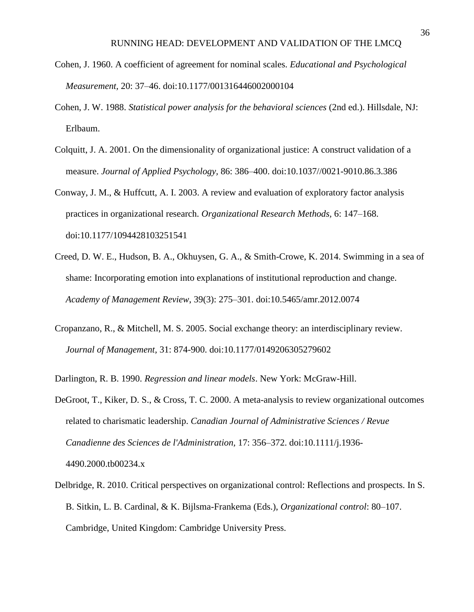- Cohen, J. 1960. A coefficient of agreement for nominal scales. *Educational and Psychological Measurement,* 20: 37–46. doi:10.1177/001316446002000104
- Cohen, J. W. 1988. *Statistical power analysis for the behavioral sciences* (2nd ed.). Hillsdale, NJ: Erlbaum.
- Colquitt, J. A. 2001. On the dimensionality of organizational justice: A construct validation of a measure. *Journal of Applied Psychology,* 86: 386–400. doi:10.1037//0021-9010.86.3.386
- Conway, J. M., & Huffcutt, A. I. 2003. A review and evaluation of exploratory factor analysis practices in organizational research. *Organizational Research Methods,* 6: 147–168. doi:10.1177/1094428103251541
- Creed, D. W. E., Hudson, B. A., Okhuysen, G. A., & Smith-Crowe, K. 2014. Swimming in a sea of shame: Incorporating emotion into explanations of institutional reproduction and change. *Academy of Management Review*, 39(3): 275–301. doi:10.5465/amr.2012.0074
- Cropanzano, R., & Mitchell, M. S. 2005. Social exchange theory: an interdisciplinary review. *Journal of Management,* 31: 874-900. doi:10.1177/0149206305279602
- Darlington, R. B. 1990. *Regression and linear models*. New York: McGraw-Hill.
- DeGroot, T., Kiker, D. S., & Cross, T. C. 2000. A meta-analysis to review organizational outcomes related to charismatic leadership. *Canadian Journal of Administrative Sciences / Revue Canadienne des Sciences de l'Administration,* 17: 356–372. doi:10.1111/j.1936- 4490.2000.tb00234.x
- Delbridge, R. 2010. Critical perspectives on organizational control: Reflections and prospects. In S. B. Sitkin, L. B. Cardinal, & K. Bijlsma-Frankema (Eds.), *Organizational control*: 80–107. Cambridge, United Kingdom: Cambridge University Press.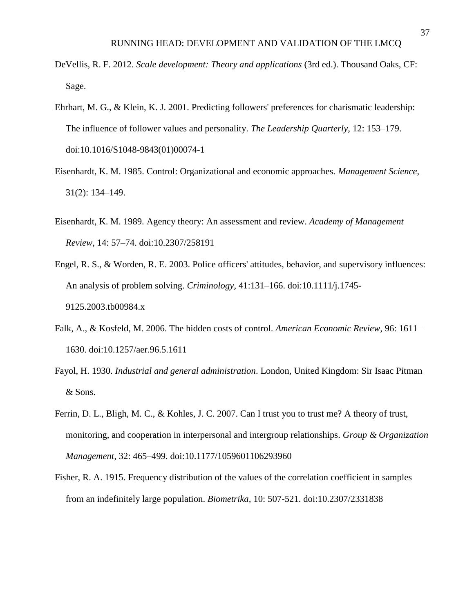- DeVellis, R. F. 2012. *Scale development: Theory and applications* (3rd ed.). Thousand Oaks, CF: Sage.
- Ehrhart, M. G., & Klein, K. J. 2001. Predicting followers' preferences for charismatic leadership: The influence of follower values and personality. *The Leadership Quarterly,* 12: 153–179. doi:10.1016/S1048-9843(01)00074-1
- Eisenhardt, K. M. 1985. Control: Organizational and economic approaches. *Management Science*, 31(2): 134–149.
- Eisenhardt, K. M. 1989. Agency theory: An assessment and review. *Academy of Management Review,* 14: 57–74. doi:10.2307/258191
- Engel, R. S., & Worden, R. E. 2003. Police officers' attitudes, behavior, and supervisory influences: An analysis of problem solving. *Criminology,* 41:131–166. doi:10.1111/j.1745- 9125.2003.tb00984.x
- Falk, A., & Kosfeld, M. 2006. The hidden costs of control. *American Economic Review,* 96: 1611– 1630. doi:10.1257/aer.96.5.1611
- Fayol, H. 1930. *Industrial and general administration*. London, United Kingdom: Sir Isaac Pitman & Sons.
- Ferrin, D. L., Bligh, M. C., & Kohles, J. C. 2007. Can I trust you to trust me? A theory of trust, monitoring, and cooperation in interpersonal and intergroup relationships. *Group & Organization Management,* 32: 465–499. doi:10.1177/1059601106293960
- Fisher, R. A. 1915. Frequency distribution of the values of the correlation coefficient in samples from an indefinitely large population. *Biometrika,* 10: 507-521. doi:10.2307/2331838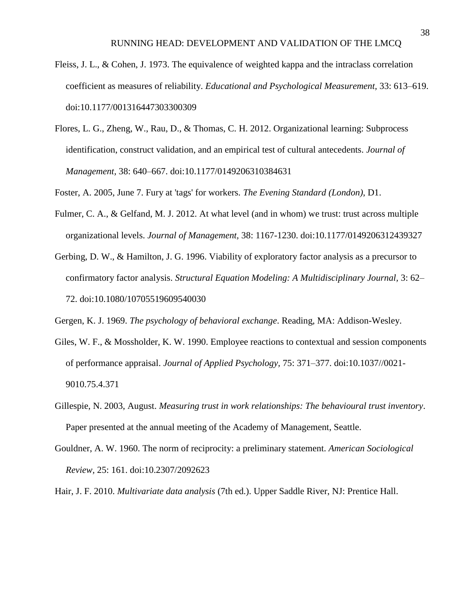- Fleiss, J. L., & Cohen, J. 1973. The equivalence of weighted kappa and the intraclass correlation coefficient as measures of reliability. *Educational and Psychological Measurement,* 33: 613–619. doi:10.1177/001316447303300309
- Flores, L. G., Zheng, W., Rau, D., & Thomas, C. H. 2012. Organizational learning: Subprocess identification, construct validation, and an empirical test of cultural antecedents. *Journal of Management,* 38: 640–667. doi:10.1177/0149206310384631

Foster, A. 2005, June 7. Fury at 'tags' for workers. *The Evening Standard (London)*, D1.

- Fulmer, C. A., & Gelfand, M. J. 2012. At what level (and in whom) we trust: trust across multiple organizational levels. *Journal of Management,* 38: 1167-1230. doi:10.1177/0149206312439327
- Gerbing, D. W., & Hamilton, J. G. 1996. Viability of exploratory factor analysis as a precursor to confirmatory factor analysis. *Structural Equation Modeling: A Multidisciplinary Journal,* 3: 62– 72. doi:10.1080/10705519609540030

Gergen, K. J. 1969. *The psychology of behavioral exchange*. Reading, MA: Addison-Wesley.

- Giles, W. F., & Mossholder, K. W. 1990. Employee reactions to contextual and session components of performance appraisal. *Journal of Applied Psychology,* 75: 371–377. doi:10.1037//0021- 9010.75.4.371
- Gillespie, N. 2003, August. *Measuring trust in work relationships: The behavioural trust inventory*. Paper presented at the annual meeting of the Academy of Management, Seattle.
- Gouldner, A. W. 1960. The norm of reciprocity: a preliminary statement. *American Sociological Review,* 25: 161. doi:10.2307/2092623

Hair, J. F. 2010. *Multivariate data analysis* (7th ed.). Upper Saddle River, NJ: Prentice Hall.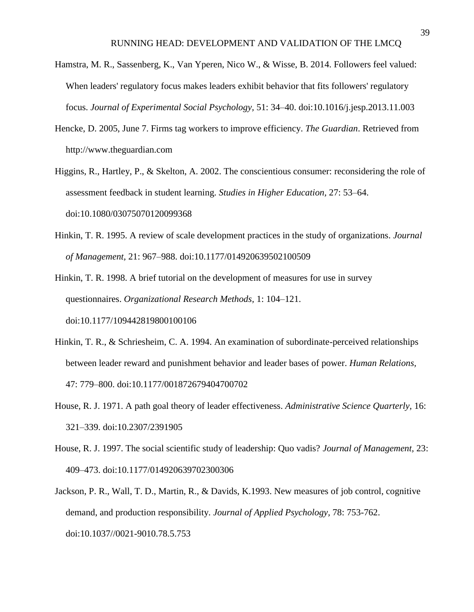- Hamstra, M. R., Sassenberg, K., Van Yperen, Nico W., & Wisse, B. 2014. Followers feel valued: When leaders' regulatory focus makes leaders exhibit behavior that fits followers' regulatory focus. *Journal of Experimental Social Psychology,* 51: 34–40. doi:10.1016/j.jesp.2013.11.003
- Hencke, D. 2005, June 7. Firms tag workers to improve efficiency. *The Guardian*. Retrieved from http://www.theguardian.com
- Higgins, R., Hartley, P., & Skelton, A. 2002. The conscientious consumer: reconsidering the role of assessment feedback in student learning. *Studies in Higher Education,* 27: 53–64. doi:10.1080/03075070120099368
- Hinkin, T. R. 1995. A review of scale development practices in the study of organizations. *Journal of Management,* 21: 967–988. doi:10.1177/014920639502100509

Hinkin, T. R. 1998. A brief tutorial on the development of measures for use in survey questionnaires. *Organizational Research Methods,* 1: 104–121. doi:10.1177/109442819800100106

- Hinkin, T. R., & Schriesheim, C. A. 1994. An examination of subordinate-perceived relationships between leader reward and punishment behavior and leader bases of power. *Human Relations,*  47: 779–800. doi:10.1177/001872679404700702
- House, R. J. 1971. A path goal theory of leader effectiveness. *Administrative Science Quarterly,* 16: 321–339. doi:10.2307/2391905
- House, R. J. 1997. The social scientific study of leadership: Quo vadis? *Journal of Management,* 23: 409–473. doi:10.1177/014920639702300306
- Jackson, P. R., Wall, T. D., Martin, R., & Davids, K.1993. New measures of job control, cognitive demand, and production responsibility. *Journal of Applied Psychology,* 78: 753-762. doi:10.1037//0021-9010.78.5.753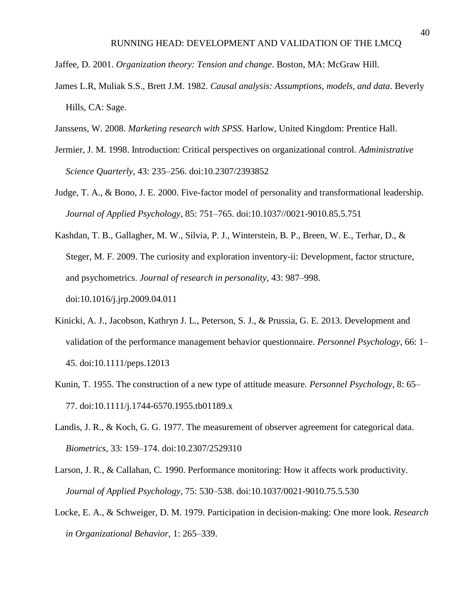Jaffee, D. 2001. *Organization theory: Tension and change*. Boston, MA: McGraw Hill.

- James L.R, Muliak S.S., Brett J.M. 1982. *Causal analysis: Assumptions, models, and data*. Beverly Hills, CA: Sage.
- Janssens, W. 2008. *Marketing research with SPSS*. Harlow, United Kingdom: Prentice Hall.
- Jermier, J. M. 1998. Introduction: Critical perspectives on organizational control. *Administrative Science Quarterly,* 43: 235–256. doi:10.2307/2393852
- Judge, T. A., & Bono, J. E. 2000. Five-factor model of personality and transformational leadership. *Journal of Applied Psychology,* 85: 751–765. doi:10.1037//0021-9010.85.5.751
- Kashdan, T. B., Gallagher, M. W., Silvia, P. J., Winterstein, B. P., Breen, W. E., Terhar, D., & Steger, M. F. 2009. The curiosity and exploration inventory-ii: Development, factor structure, and psychometrics. *Journal of research in personality,* 43: 987–998. doi:10.1016/j.jrp.2009.04.011
- Kinicki, A. J., Jacobson, Kathryn J. L., Peterson, S. J., & Prussia, G. E. 2013. Development and validation of the performance management behavior questionnaire. *Personnel Psychology,* 66: 1– 45. doi:10.1111/peps.12013
- Kunin, T. 1955. The construction of a new type of attitude measure. *Personnel Psychology,* 8: 65– 77. doi:10.1111/j.1744-6570.1955.tb01189.x
- Landis, J. R., & Koch, G. G. 1977. The measurement of observer agreement for categorical data. *Biometrics,* 33: 159–174. doi:10.2307/2529310
- Larson, J. R., & Callahan, C. 1990. Performance monitoring: How it affects work productivity. *Journal of Applied Psychology,* 75: 530–538. doi:10.1037/0021-9010.75.5.530
- Locke, E. A., & Schweiger, D. M. 1979. Participation in decision-making: One more look. *Research in Organizational Behavior,* 1: 265–339.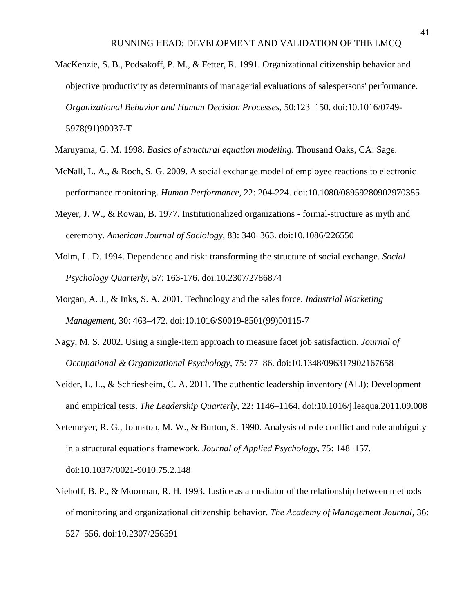- MacKenzie, S. B., Podsakoff, P. M., & Fetter, R. 1991. Organizational citizenship behavior and objective productivity as determinants of managerial evaluations of salespersons' performance. *Organizational Behavior and Human Decision Processes,* 50:123–150. doi:10.1016/0749- 5978(91)90037-T
- Maruyama, G. M. 1998. *Basics of structural equation modeling*. Thousand Oaks, CA: Sage.
- McNall, L. A., & Roch, S. G. 2009. A social exchange model of employee reactions to electronic performance monitoring. *Human Performance*, 22: 204-224. doi:10.1080/08959280902970385
- Meyer, J. W., & Rowan, B. 1977. Institutionalized organizations formal-structure as myth and ceremony. *American Journal of Sociology,* 83: 340–363. doi:10.1086/226550
- Molm, L. D. 1994. Dependence and risk: transforming the structure of social exchange. *Social Psychology Quarterly,* 57: 163-176. doi:10.2307/2786874
- Morgan, A. J., & Inks, S. A. 2001. Technology and the sales force. *Industrial Marketing Management,* 30: 463–472. doi:10.1016/S0019-8501(99)00115-7
- Nagy, M. S. 2002. Using a single-item approach to measure facet job satisfaction. *Journal of Occupational & Organizational Psychology,* 75: 77–86. doi:10.1348/096317902167658
- Neider, L. L., & Schriesheim, C. A. 2011. The authentic leadership inventory (ALI): Development and empirical tests. *The Leadership Quarterly,* 22: 1146–1164. doi:10.1016/j.leaqua.2011.09.008
- Netemeyer, R. G., Johnston, M. W., & Burton, S. 1990. Analysis of role conflict and role ambiguity in a structural equations framework. *Journal of Applied Psychology,* 75: 148–157. doi:10.1037//0021-9010.75.2.148
- Niehoff, B. P., & Moorman, R. H. 1993. Justice as a mediator of the relationship between methods of monitoring and organizational citizenship behavior. *The Academy of Management Journal,* 36: 527–556. doi:10.2307/256591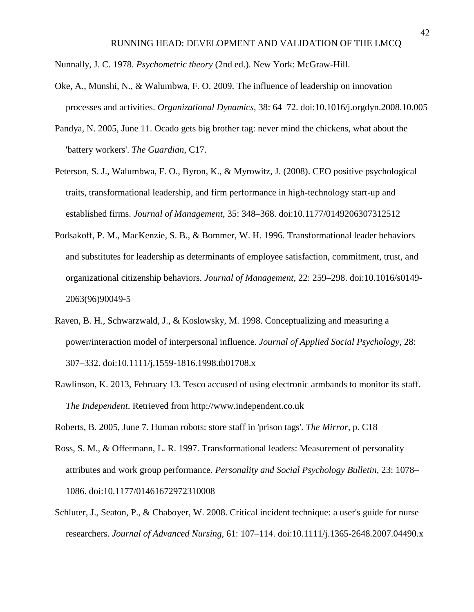Nunnally, J. C. 1978. *Psychometric theory* (2nd ed.). New York: McGraw-Hill.

- Oke, A., Munshi, N., & Walumbwa, F. O. 2009. The influence of leadership on innovation processes and activities. *Organizational Dynamics,* 38: 64–72. doi:10.1016/j.orgdyn.2008.10.005
- Pandya, N. 2005, June 11. Ocado gets big brother tag: never mind the chickens, what about the 'battery workers'. *The Guardian*, C17.
- Peterson, S. J., Walumbwa, F. O., Byron, K., & Myrowitz, J. (2008). CEO positive psychological traits, transformational leadership, and firm performance in high-technology start-up and established firms. *Journal of Management*, 35: 348–368. doi:10.1177/0149206307312512
- Podsakoff, P. M., MacKenzie, S. B., & Bommer, W. H. 1996. Transformational leader behaviors and substitutes for leadership as determinants of employee satisfaction, commitment, trust, and organizational citizenship behaviors. *Journal of Management,* 22: 259–298. doi:10.1016/s0149- 2063(96)90049-5
- Raven, B. H., Schwarzwald, J., & Koslowsky, M. 1998. Conceptualizing and measuring a power/interaction model of interpersonal influence. *Journal of Applied Social Psychology,* 28: 307–332. doi:10.1111/j.1559-1816.1998.tb01708.x
- Rawlinson, K. 2013, February 13. Tesco accused of using electronic armbands to monitor its staff. *The Independent*. Retrieved from http://www.independent.co.uk
- Roberts, B. 2005, June 7. Human robots: store staff in 'prison tags'. *The Mirror*, p. C18
- Ross, S. M., & Offermann, L. R. 1997. Transformational leaders: Measurement of personality attributes and work group performance. *Personality and Social Psychology Bulletin,* 23: 1078– 1086. doi:10.1177/01461672972310008
- Schluter, J., Seaton, P., & Chaboyer, W. 2008. Critical incident technique: a user's guide for nurse researchers. *Journal of Advanced Nursing,* 61: 107–114. doi:10.1111/j.1365-2648.2007.04490.x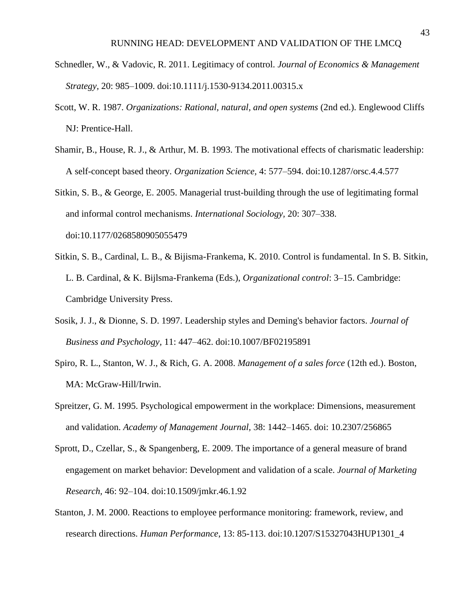- Schnedler, W., & Vadovic, R. 2011. Legitimacy of control. *Journal of Economics & Management Strategy,* 20: 985–1009. doi:10.1111/j.1530-9134.2011.00315.x
- Scott, W. R. 1987. *Organizations: Rational, natural, and open systems* (2nd ed.). Englewood Cliffs NJ: Prentice-Hall.
- Shamir, B., House, R. J., & Arthur, M. B. 1993. The motivational effects of charismatic leadership: A self-concept based theory. *Organization Science,* 4: 577–594. doi:10.1287/orsc.4.4.577
- Sitkin, S. B., & George, E. 2005. Managerial trust-building through the use of legitimating formal and informal control mechanisms. *International Sociology,* 20: 307–338. doi:10.1177/0268580905055479
- Sitkin, S. B., Cardinal, L. B., & Bijisma-Frankema, K. 2010. Control is fundamental. In S. B. Sitkin, L. B. Cardinal, & K. Bijlsma-Frankema (Eds.), *Organizational control*: 3–15. Cambridge: Cambridge University Press.
- Sosik, J. J., & Dionne, S. D. 1997. Leadership styles and Deming's behavior factors. *Journal of Business and Psychology,* 11: 447–462. doi:10.1007/BF02195891
- Spiro, R. L., Stanton, W. J., & Rich, G. A. 2008. *Management of a sales force* (12th ed.). Boston, MA: McGraw-Hill/Irwin.
- Spreitzer, G. M. 1995. Psychological empowerment in the workplace: Dimensions, measurement and validation. *Academy of Management Journal,* 38: 1442–1465. doi: 10.2307/256865
- Sprott, D., Czellar, S., & Spangenberg, E. 2009. The importance of a general measure of brand engagement on market behavior: Development and validation of a scale. *Journal of Marketing Research,* 46: 92–104. doi:10.1509/jmkr.46.1.92
- Stanton, J. M. 2000. Reactions to employee performance monitoring: framework, review, and research directions. *Human Performance*, 13: 85-113. doi:10.1207/S15327043HUP1301\_4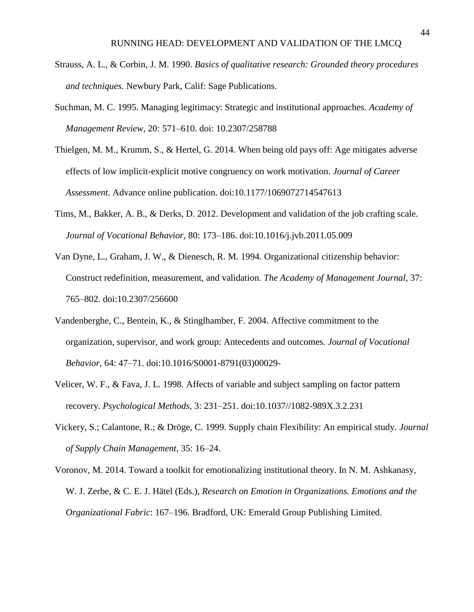- Strauss, A. L., & Corbin, J. M. 1990. *Basics of qualitative research: Grounded theory procedures and techniques.* Newbury Park, Calif: Sage Publications.
- Suchman, M. C. 1995. Managing legitimacy: Strategic and institutional approaches. *Academy of Management Review,* 20: 571–610. doi: 10.2307/258788
- Thielgen, M. M., Krumm, S., & Hertel, G. 2014. When being old pays off: Age mitigates adverse effects of low implicit-explicit motive congruency on work motivation. *Journal of Career Assessment.* Advance online publication. doi:10.1177/1069072714547613
- Tims, M., Bakker, A. B., & Derks, D. 2012. Development and validation of the job crafting scale. *Journal of Vocational Behavior,* 80: 173–186. doi:10.1016/j.jvb.2011.05.009
- Van Dyne, L., Graham, J. W., & Dienesch, R. M. 1994. Organizational citizenship behavior: Construct redefinition, measurement, and validation. *The Academy of Management Journal,* 37: 765–802. doi:10.2307/256600
- Vandenberghe, C., Bentein, K., & Stinglhamber, F. 2004. Affective commitment to the organization, supervisor, and work group: Antecedents and outcomes. *Journal of Vocational Behavior,* 64: 47–71. doi:10.1016/S0001-8791(03)00029-
- Velicer, W. F., & Fava, J. L. 1998. Affects of variable and subject sampling on factor pattern recovery. *Psychological Methods,* 3: 231–251. doi:10.1037//1082-989X.3.2.231
- Vickery, S.; Calantone, R.; & Dröge, C. 1999. Supply chain Flexibility: An empirical study. *Journal of Supply Chain Management,* 35: 16–24.
- Voronov, M. 2014. Toward a toolkit for emotionalizing institutional theory. In N. M. Ashkanasy, W. J. Zerbe, & C. E. J. Hätel (Eds.), *Research on Emotion in Organizations. Emotions and the Organizational Fabric*: 167–196. Bradford, UK: Emerald Group Publishing Limited.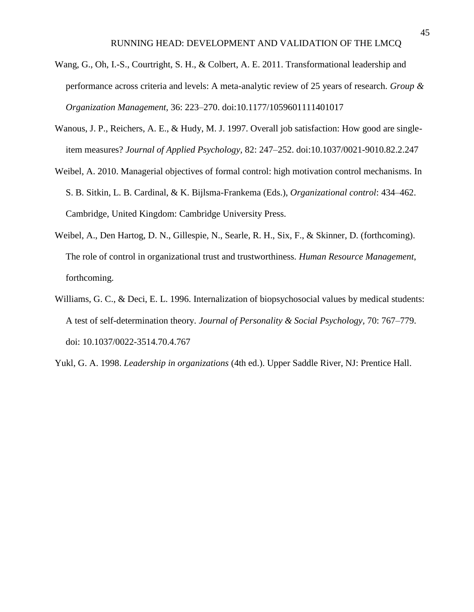- Wang, G., Oh, I.-S., Courtright, S. H., & Colbert, A. E. 2011. Transformational leadership and performance across criteria and levels: A meta-analytic review of 25 years of research. *Group & Organization Management,* 36: 223–270. doi:10.1177/1059601111401017
- Wanous, J. P., Reichers, A. E., & Hudy, M. J. 1997. Overall job satisfaction: How good are singleitem measures? *Journal of Applied Psychology,* 82: 247–252. doi:10.1037/0021-9010.82.2.247
- Weibel, A. 2010. Managerial objectives of formal control: high motivation control mechanisms. In S. B. Sitkin, L. B. Cardinal, & K. Bijlsma-Frankema (Eds.), *Organizational control*: 434–462. Cambridge, United Kingdom: Cambridge University Press.
- Weibel, A., Den Hartog, D. N., Gillespie, N., Searle, R. H., Six, F., & Skinner, D. (forthcoming). The role of control in organizational trust and trustworthiness. *Human Resource Management*, forthcoming.
- Williams, G. C., & Deci, E. L. 1996. Internalization of biopsychosocial values by medical students: A test of self-determination theory. *Journal of Personality & Social Psychology,* 70: 767–779. doi: 10.1037/0022-3514.70.4.767
- Yukl, G. A. 1998. *Leadership in organizations* (4th ed.). Upper Saddle River, NJ: Prentice Hall.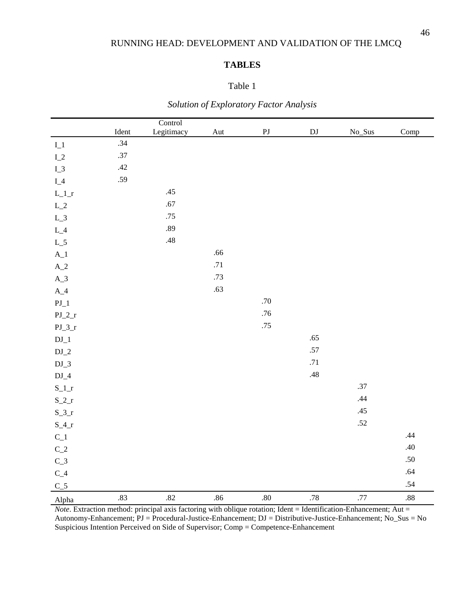## **TABLES**

## Table 1

|                 |         | Control    |         |            |                            |         |         |
|-----------------|---------|------------|---------|------------|----------------------------|---------|---------|
|                 | Ident   | Legitimacy | Aut     | ${\bf PJ}$ | $\mathop{\rm DJ}\nolimits$ | No_Sus  | Comp    |
| $\mathbf{I}\_1$ | .34     |            |         |            |                            |         |         |
| $I_2$           | $.37\,$ |            |         |            |                            |         |         |
| $I_3$           | .42     |            |         |            |                            |         |         |
| $I_4$           | .59     |            |         |            |                            |         |         |
| $L\_1\_r$       |         | .45        |         |            |                            |         |         |
| $L\_2$          |         | .67        |         |            |                            |         |         |
| $L_3$           |         | $.75$      |         |            |                            |         |         |
| $L_4$           |         | .89        |         |            |                            |         |         |
| $L_5$           |         | .48        |         |            |                            |         |         |
| $A_1$           |         |            | $.66$   |            |                            |         |         |
| $A_2$           |         |            | $.71\,$ |            |                            |         |         |
| $A_3$           |         |            | .73     |            |                            |         |         |
| $A_4$           |         |            | .63     |            |                            |         |         |
| $PJ_1$          |         |            |         | $.70\,$    |                            |         |         |
| $PJ_2_r$        |         |            |         | $.76$      |                            |         |         |
| $PJ_3_r$        |         |            |         | .75        |                            |         |         |
| $\rm{DJ\_1}$    |         |            |         |            | .65                        |         |         |
| $DJ_2$          |         |            |         |            | .57                        |         |         |
| $DJ_3$          |         |            |         |            | .71                        |         |         |
| $DJ_4$          |         |            |         |            | .48                        |         |         |
| $S_l_r$         |         |            |         |            |                            | .37     |         |
| $S_2_r$         |         |            |         |            |                            | .44     |         |
| $S_3_r$         |         |            |         |            |                            | .45     |         |
| $S_4_r$         |         |            |         |            |                            | $.52\,$ |         |
| $C_1$           |         |            |         |            |                            |         | .44     |
| $\rm C\_2$      |         |            |         |            |                            |         | .40     |
| $C_3$           |         |            |         |            |                            |         | .50     |
| $\rm C\_4$      |         |            |         |            |                            |         | .64     |
| $C_5$           |         |            |         |            |                            |         | .54     |
| Alpha           | .83     | .82        | .86     | $.80\,$    | $.78\,$                    | $.77\,$ | $.88\,$ |

*Solution of Exploratory Factor Analysis*

*Note*. Extraction method: principal axis factoring with oblique rotation; Ident = Identification-Enhancement; Aut = Autonomy-Enhancement; PJ = Procedural-Justice-Enhancement; DJ = Distributive-Justice-Enhancement; No\_Sus = No Suspicious Intention Perceived on Side of Supervisor; Comp = Competence-Enhancement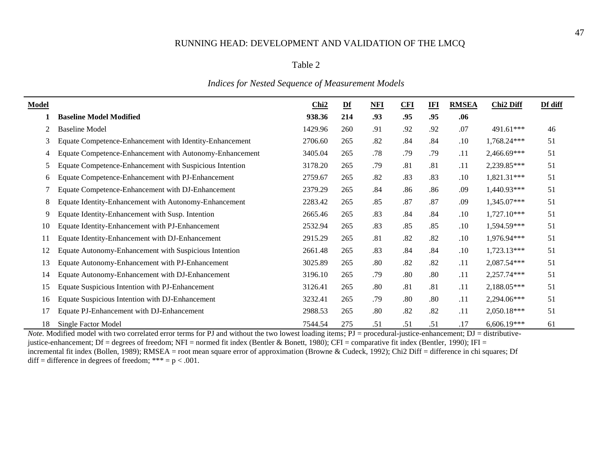#### Table 2

## *Indices for Nested Sequence of Measurement Models*

| Model |                                                         | Chi <sub>2</sub> | $Df$ | NFI | <b>CFI</b> | IFI | <b>RMSEA</b> | Chi <sub>2</sub> Diff | Df diff |
|-------|---------------------------------------------------------|------------------|------|-----|------------|-----|--------------|-----------------------|---------|
|       | <b>Baseline Model Modified</b>                          | 938.36           | 214  | .93 | .95        | .95 | .06          |                       |         |
| 2     | <b>Baseline Model</b>                                   | 1429.96          | 260  | .91 | .92        | .92 | .07          | 491.61***             | 46      |
| 3     | Equate Competence-Enhancement with Identity-Enhancement | 2706.60          | 265  | .82 | .84        | .84 | .10          | 1,768.24***           | 51      |
| 4     | Equate Competence-Enhancement with Autonomy-Enhancement | 3405.04          | 265  | .78 | .79        | .79 | .11          | 2,466.69***           | 51      |
| 5.    | Equate Competence-Enhancement with Suspicious Intention | 3178.20          | 265  | .79 | .81        | .81 | .11          | 2,239.85***           | 51      |
| 6     | Equate Competence-Enhancement with PJ-Enhancement       | 2759.67          | 265  | .82 | .83        | .83 | $.10\,$      | $1,821.31***$         | 51      |
|       | Equate Competence-Enhancement with DJ-Enhancement       | 2379.29          | 265  | .84 | .86        | .86 | .09          | 1,440.93***           | 51      |
| 8     | Equate Identity-Enhancement with Autonomy-Enhancement   | 2283.42          | 265  | .85 | .87        | .87 | .09          | 1,345.07***           | 51      |
| 9     | Equate Identity-Enhancement with Susp. Intention        | 2665.46          | 265  | .83 | .84        | .84 | $.10\,$      | $1,727.10***$         | 51      |
| 10    | Equate Identity-Enhancement with PJ-Enhancement         | 2532.94          | 265  | .83 | .85        | .85 | .10          | 1,594.59***           | 51      |
| 11    | Equate Identity-Enhancement with DJ-Enhancement         | 2915.29          | 265  | .81 | .82        | .82 | .10          | 1,976.94***           | 51      |
| 12    | Equate Autonomy-Enhancement with Suspicious Intention   | 2661.48          | 265  | .83 | .84        | .84 | .10          | 1,723.13***           | 51      |
| 13    | Equate Autonomy-Enhancement with PJ-Enhancement         | 3025.89          | 265  | .80 | .82        | .82 | .11          | 2,087.54***           | 51      |
| 14    | Equate Autonomy-Enhancement with DJ-Enhancement         | 3196.10          | 265  | .79 | .80        | .80 | .11          | 2,257.74***           | 51      |
| 15    | <b>Equate Suspicious Intention with PJ-Enhancement</b>  | 3126.41          | 265  | .80 | .81        | .81 | .11          | 2,188.05***           | 51      |
| 16    | Equate Suspicious Intention with DJ-Enhancement         | 3232.41          | 265  | .79 | .80        | .80 | .11          | 2,294.06***           | 51      |
| 17    | Equate PJ-Enhancement with DJ-Enhancement               | 2988.53          | 265  | .80 | .82        | .82 | .11          | 2,050.18***           | 51      |
| 18    | Single Factor Model                                     | 7544.54          | 275  | .51 | .51        | .51 | .17          | 6,606.19***           | 61      |

*Note.* Modified model with two correlated error terms for PJ and without the two lowest loading items; PJ = procedural-justice-enhancement; DJ = distributivejustice-enhancement; Df = degrees of freedom; NFI = normed fit index (Bentler & Bonett, 1980); CFI = comparative fit index (Bentler, 1990); IFI = incremental fit index (Bollen, 1989); RMSEA = root mean square error of approximation (Browne & Cudeck, 1992); Chi2 Diff = difference in chi squares; Df diff = difference in degrees of freedom; \*\*\* =  $p < .001$ .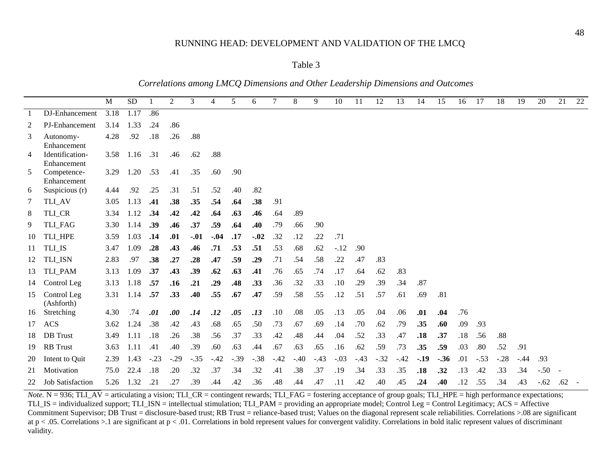#### Table 3

*Correlations among LMCQ Dimensions and Other Leadership Dimensions and Outcomes*

|    |                            | M    | <b>SD</b> |        | $\overline{c}$ | 3      | 4      | 5      | 6      | 7      | 8      | 9      | 10     | 11     | 12     | 13     | 14     | 15     | 16  | 17     | 18     | 19     | 20     | 21  | $22\,$ |
|----|----------------------------|------|-----------|--------|----------------|--------|--------|--------|--------|--------|--------|--------|--------|--------|--------|--------|--------|--------|-----|--------|--------|--------|--------|-----|--------|
| -1 | DJ-Enhancement             | 3.18 | 1.17      | .86    |                |        |        |        |        |        |        |        |        |        |        |        |        |        |     |        |        |        |        |     |        |
| 2  | <b>PJ-Enhancement</b>      | 3.14 | 1.33      | .24    | .86            |        |        |        |        |        |        |        |        |        |        |        |        |        |     |        |        |        |        |     |        |
| 3  | Autonomy-                  | 4.28 | .92       | .18    | .26            | .88    |        |        |        |        |        |        |        |        |        |        |        |        |     |        |        |        |        |     |        |
|    | Enhancement                |      |           |        |                |        |        |        |        |        |        |        |        |        |        |        |        |        |     |        |        |        |        |     |        |
| 4  | Identification-            | 3.58 | 1.16 .31  |        | .46            | .62    | .88    |        |        |        |        |        |        |        |        |        |        |        |     |        |        |        |        |     |        |
|    | Enhancement                |      |           |        |                |        |        |        |        |        |        |        |        |        |        |        |        |        |     |        |        |        |        |     |        |
| 5  | Competence-<br>Enhancement | 3.29 | 1.20      | .53    | .41            | .35    | .60    | .90    |        |        |        |        |        |        |        |        |        |        |     |        |        |        |        |     |        |
| 6  | Suspicious (r)             | 4.44 | .92       | .25    | .31            | .51    | .52    | .40    | .82    |        |        |        |        |        |        |        |        |        |     |        |        |        |        |     |        |
| 7  | TLI_AV                     | 3.05 | 1.13      | .41    | .38            | .35    | .54    | .64    | .38    | .91    |        |        |        |        |        |        |        |        |     |        |        |        |        |     |        |
| 8  | TLI_CR                     | 3.34 | 1.12      | .34    | .42            | .42    | .64    | .63    | .46    | .64    | .89    |        |        |        |        |        |        |        |     |        |        |        |        |     |        |
| 9  | <b>TLI_FAG</b>             | 3.30 | 1.14      | .39    | .46            | .37    | .59    | .64    | .40    | .79    | .66    | .90    |        |        |        |        |        |        |     |        |        |        |        |     |        |
| 10 | TLI HPE                    | 3.59 | 1.03      | .14    | .01            | $-.01$ | $-.04$ | .17    | $-.02$ | .32    | .12    | .22    | .71    |        |        |        |        |        |     |        |        |        |        |     |        |
| 11 | TLI_IS                     | 3.47 | 1.09      | .28    | .43            | .46    | .71    | .53    | .51    | .53    | .68    | .62    | $-.12$ | .90    |        |        |        |        |     |        |        |        |        |     |        |
| 12 | TLI_ISN                    | 2.83 | .97       | .38    | .27            | .28    | .47    | .59    | .29    | .71    | .54    | .58    | .22    | .47    | .83    |        |        |        |     |        |        |        |        |     |        |
| 13 | TLI_PAM                    | 3.13 | 1.09      | .37    | .43            | .39    | .62    | .63    | .41    | .76    | .65    | .74    | .17    | .64    | .62    | .83    |        |        |     |        |        |        |        |     |        |
| 14 | Control Leg                | 3.13 | 1.18      | .57    | .16            | .21    | .29    | .48    | .33    | .36    | .32    | .33    | .10    | .29    | .39    | .34    | .87    |        |     |        |        |        |        |     |        |
| 15 | Control Leg<br>(Ashforth)  | 3.31 | 1.14      | .57    | .33            | .40    | .55    | .67    | .47    | .59    | .58    | .55    | .12    | .51    | .57    | .61    | .69    | .81    |     |        |        |        |        |     |        |
| 16 | Stretching                 | 4.30 | .74       | .01    | .00.           | .14    | .12    | .05    | .13    | .10    | .08    | .05    | .13    | .05    | .04    | .06    | .01    | .04    | .76 |        |        |        |        |     |        |
| 17 | <b>ACS</b>                 | 3.62 | 1.24      | .38    | .42            | .43    | .68    | .65    | .50    | .73    | .67    | .69    | .14    | .70    | .62    | .79    | .35    | .60    | .09 | .93    |        |        |        |     |        |
| 18 | <b>DB</b> Trust            | 3.49 | 1.11      | .18    | .26            | .38    | .56    | .37    | .33    | .42    | .48    | .44    | .04    | .52    | .33    | .47    | .18    | .37    | .18 | .56    | .88    |        |        |     |        |
| 19 | <b>RB</b> Trust            | 3.63 | 1.11      | .41    | .40            | .39    | .60    | .63    | .44    | .67    | .63    | .65    | .16    | .62    | .59    | .73    | .35    | .59    | .03 | .80    | .52    | .91    |        |     |        |
| 20 | Intent to Quit             | 2.39 | 1.43      | $-.23$ | $-.29$         | $-.35$ | $-.42$ | $-.39$ | $-.38$ | $-.42$ | $-.40$ | $-.43$ | $-.03$ | $-.43$ | $-.32$ | $-.42$ | $-.19$ | $-.36$ | .01 | $-.53$ | $-.28$ | $-.44$ | .93    |     |        |
| 21 | Motivation                 | 75.0 | 22.4      | .18    | .20            | .32    | .37    | .34    | .32    | .41    | .38    | .37    | .19    | .34    | .33    | .35    | .18    | .32    | .13 | .42    | .33    | .34    | $-.50$ |     |        |
| 22 | <b>Job Satisfaction</b>    | 5.26 | 1.32      | .21    | .27            | .39    | .44    | .42    | .36    | .48    | .44    | .47    | .11    | .42    | .40    | .45    | .24    | .40    | .12 | .55    | .34    | .43    | $-.62$ | .62 |        |

*Note.* N = 936; TLI\_AV = articulating a vision; TLI\_CR = contingent rewards; TLI\_FAG = fostering acceptance of group goals; TLI\_HPE = high performance expectations; TLI\_IS = individualized support; TLI\_ISN = intellectual stimulation; TLI\_PAM = providing an appropriate model; Control Leg = Control Legitimacy; ACS = Affective Commitment Supervisor; DB Trust = disclosure-based trust; RB Trust = reliance-based trust; Values on the diagonal represent scale reliabilities. Correlations >.08 are significant at  $p < .05$ . Correlations  $> 1$  are significant at  $p < .01$ . Correlations in bold represent values for convergent validity. Correlations in bold italic represent values of discriminant validity.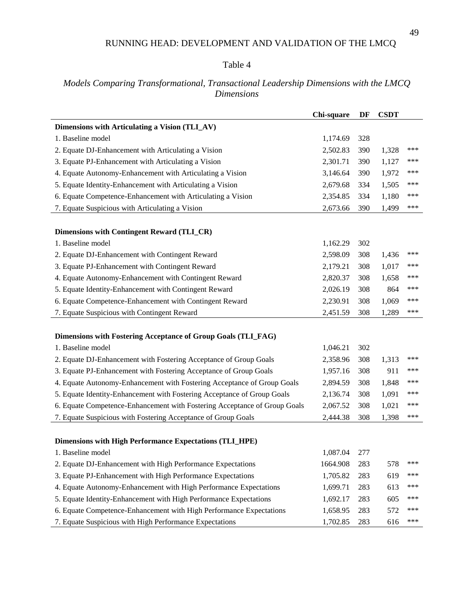## Table 4

## *Models Comparing Transformational, Transactional Leadership Dimensions with the LMCQ Dimensions*

| Dimensions with Articulating a Vision (TLI_AV)<br>1. Baseline model<br>1,174.69<br>328<br>***<br>2. Equate DJ-Enhancement with Articulating a Vision<br>2,502.83<br>390<br>1,328<br>3. Equate PJ-Enhancement with Articulating a Vision<br>2,301.71<br>1,127<br>***<br>390<br>***<br>4. Equate Autonomy-Enhancement with Articulating a Vision<br>3,146.64<br>1,972<br>390<br>5. Equate Identity-Enhancement with Articulating a Vision<br>***<br>2,679.68<br>334<br>1,505<br>6. Equate Competence-Enhancement with Articulating a Vision<br>2,354.85<br>1,180<br>***<br>334<br>***<br>7. Equate Suspicious with Articulating a Vision<br>2,673.66<br>390<br>1,499<br><b>Dimensions with Contingent Reward (TLI_CR)</b><br>1. Baseline model<br>1,162.29<br>302<br>***<br>2. Equate DJ-Enhancement with Contingent Reward<br>2,598.09<br>308<br>1,436<br>3. Equate PJ-Enhancement with Contingent Reward<br>2,179.21<br>1,017<br>***<br>308<br>4. Equate Autonomy-Enhancement with Contingent Reward<br>***<br>2,820.37<br>308<br>1,658<br>5. Equate Identity-Enhancement with Contingent Reward<br>864<br>***<br>2,026.19<br>308<br>6. Equate Competence-Enhancement with Contingent Reward<br>2,230.91<br>1,069<br>***<br>308<br>7. Equate Suspicious with Contingent Reward<br>***<br>2,451.59<br>308<br>1,289<br>Dimensions with Fostering Acceptance of Group Goals (TLI_FAG)<br>1. Baseline model<br>1,046.21<br>302<br>***<br>2. Equate DJ-Enhancement with Fostering Acceptance of Group Goals<br>2,358.96<br>308<br>1,313<br>3. Equate PJ-Enhancement with Fostering Acceptance of Group Goals<br>911<br>***<br>1,957.16<br>308<br>4. Equate Autonomy-Enhancement with Fostering Acceptance of Group Goals<br>1,848<br>***<br>2,894.59<br>308<br>5. Equate Identity-Enhancement with Fostering Acceptance of Group Goals<br>1,091<br>***<br>2,136.74<br>308<br>6. Equate Competence-Enhancement with Fostering Acceptance of Group Goals<br>1,021<br>***<br>2,067.52<br>308<br>***<br>7. Equate Suspicious with Fostering Acceptance of Group Goals<br>2,444.38<br>308<br>1,398<br><b>Dimensions with High Performance Expectations (TLI_HPE)</b><br>1. Baseline model<br>1,087.04<br>277<br>***<br>2. Equate DJ-Enhancement with High Performance Expectations<br>1664.908<br>283<br>578<br>3. Equate PJ-Enhancement with High Performance Expectations<br>1,705.82<br>***<br>283<br>619<br>4. Equate Autonomy-Enhancement with High Performance Expectations<br>***<br>283<br>1,699.71<br>613<br>5. Equate Identity-Enhancement with High Performance Expectations<br>***<br>1,692.17<br>283<br>605<br>6. Equate Competence-Enhancement with High Performance Expectations<br>***<br>1,658.95<br>283<br>572<br>*** |                                                         | Chi-square | DF  | <b>CSDT</b> |  |
|-------------------------------------------------------------------------------------------------------------------------------------------------------------------------------------------------------------------------------------------------------------------------------------------------------------------------------------------------------------------------------------------------------------------------------------------------------------------------------------------------------------------------------------------------------------------------------------------------------------------------------------------------------------------------------------------------------------------------------------------------------------------------------------------------------------------------------------------------------------------------------------------------------------------------------------------------------------------------------------------------------------------------------------------------------------------------------------------------------------------------------------------------------------------------------------------------------------------------------------------------------------------------------------------------------------------------------------------------------------------------------------------------------------------------------------------------------------------------------------------------------------------------------------------------------------------------------------------------------------------------------------------------------------------------------------------------------------------------------------------------------------------------------------------------------------------------------------------------------------------------------------------------------------------------------------------------------------------------------------------------------------------------------------------------------------------------------------------------------------------------------------------------------------------------------------------------------------------------------------------------------------------------------------------------------------------------------------------------------------------------------------------------------------------------------------------------------------------------------------------------------------------------------------------------------------------------------------------------------------------------------------------------------------------------------------------------------------------------------|---------------------------------------------------------|------------|-----|-------------|--|
|                                                                                                                                                                                                                                                                                                                                                                                                                                                                                                                                                                                                                                                                                                                                                                                                                                                                                                                                                                                                                                                                                                                                                                                                                                                                                                                                                                                                                                                                                                                                                                                                                                                                                                                                                                                                                                                                                                                                                                                                                                                                                                                                                                                                                                                                                                                                                                                                                                                                                                                                                                                                                                                                                                                               |                                                         |            |     |             |  |
|                                                                                                                                                                                                                                                                                                                                                                                                                                                                                                                                                                                                                                                                                                                                                                                                                                                                                                                                                                                                                                                                                                                                                                                                                                                                                                                                                                                                                                                                                                                                                                                                                                                                                                                                                                                                                                                                                                                                                                                                                                                                                                                                                                                                                                                                                                                                                                                                                                                                                                                                                                                                                                                                                                                               |                                                         |            |     |             |  |
|                                                                                                                                                                                                                                                                                                                                                                                                                                                                                                                                                                                                                                                                                                                                                                                                                                                                                                                                                                                                                                                                                                                                                                                                                                                                                                                                                                                                                                                                                                                                                                                                                                                                                                                                                                                                                                                                                                                                                                                                                                                                                                                                                                                                                                                                                                                                                                                                                                                                                                                                                                                                                                                                                                                               |                                                         |            |     |             |  |
|                                                                                                                                                                                                                                                                                                                                                                                                                                                                                                                                                                                                                                                                                                                                                                                                                                                                                                                                                                                                                                                                                                                                                                                                                                                                                                                                                                                                                                                                                                                                                                                                                                                                                                                                                                                                                                                                                                                                                                                                                                                                                                                                                                                                                                                                                                                                                                                                                                                                                                                                                                                                                                                                                                                               |                                                         |            |     |             |  |
|                                                                                                                                                                                                                                                                                                                                                                                                                                                                                                                                                                                                                                                                                                                                                                                                                                                                                                                                                                                                                                                                                                                                                                                                                                                                                                                                                                                                                                                                                                                                                                                                                                                                                                                                                                                                                                                                                                                                                                                                                                                                                                                                                                                                                                                                                                                                                                                                                                                                                                                                                                                                                                                                                                                               |                                                         |            |     |             |  |
|                                                                                                                                                                                                                                                                                                                                                                                                                                                                                                                                                                                                                                                                                                                                                                                                                                                                                                                                                                                                                                                                                                                                                                                                                                                                                                                                                                                                                                                                                                                                                                                                                                                                                                                                                                                                                                                                                                                                                                                                                                                                                                                                                                                                                                                                                                                                                                                                                                                                                                                                                                                                                                                                                                                               |                                                         |            |     |             |  |
|                                                                                                                                                                                                                                                                                                                                                                                                                                                                                                                                                                                                                                                                                                                                                                                                                                                                                                                                                                                                                                                                                                                                                                                                                                                                                                                                                                                                                                                                                                                                                                                                                                                                                                                                                                                                                                                                                                                                                                                                                                                                                                                                                                                                                                                                                                                                                                                                                                                                                                                                                                                                                                                                                                                               |                                                         |            |     |             |  |
|                                                                                                                                                                                                                                                                                                                                                                                                                                                                                                                                                                                                                                                                                                                                                                                                                                                                                                                                                                                                                                                                                                                                                                                                                                                                                                                                                                                                                                                                                                                                                                                                                                                                                                                                                                                                                                                                                                                                                                                                                                                                                                                                                                                                                                                                                                                                                                                                                                                                                                                                                                                                                                                                                                                               |                                                         |            |     |             |  |
|                                                                                                                                                                                                                                                                                                                                                                                                                                                                                                                                                                                                                                                                                                                                                                                                                                                                                                                                                                                                                                                                                                                                                                                                                                                                                                                                                                                                                                                                                                                                                                                                                                                                                                                                                                                                                                                                                                                                                                                                                                                                                                                                                                                                                                                                                                                                                                                                                                                                                                                                                                                                                                                                                                                               |                                                         |            |     |             |  |
|                                                                                                                                                                                                                                                                                                                                                                                                                                                                                                                                                                                                                                                                                                                                                                                                                                                                                                                                                                                                                                                                                                                                                                                                                                                                                                                                                                                                                                                                                                                                                                                                                                                                                                                                                                                                                                                                                                                                                                                                                                                                                                                                                                                                                                                                                                                                                                                                                                                                                                                                                                                                                                                                                                                               |                                                         |            |     |             |  |
|                                                                                                                                                                                                                                                                                                                                                                                                                                                                                                                                                                                                                                                                                                                                                                                                                                                                                                                                                                                                                                                                                                                                                                                                                                                                                                                                                                                                                                                                                                                                                                                                                                                                                                                                                                                                                                                                                                                                                                                                                                                                                                                                                                                                                                                                                                                                                                                                                                                                                                                                                                                                                                                                                                                               |                                                         |            |     |             |  |
|                                                                                                                                                                                                                                                                                                                                                                                                                                                                                                                                                                                                                                                                                                                                                                                                                                                                                                                                                                                                                                                                                                                                                                                                                                                                                                                                                                                                                                                                                                                                                                                                                                                                                                                                                                                                                                                                                                                                                                                                                                                                                                                                                                                                                                                                                                                                                                                                                                                                                                                                                                                                                                                                                                                               |                                                         |            |     |             |  |
|                                                                                                                                                                                                                                                                                                                                                                                                                                                                                                                                                                                                                                                                                                                                                                                                                                                                                                                                                                                                                                                                                                                                                                                                                                                                                                                                                                                                                                                                                                                                                                                                                                                                                                                                                                                                                                                                                                                                                                                                                                                                                                                                                                                                                                                                                                                                                                                                                                                                                                                                                                                                                                                                                                                               |                                                         |            |     |             |  |
|                                                                                                                                                                                                                                                                                                                                                                                                                                                                                                                                                                                                                                                                                                                                                                                                                                                                                                                                                                                                                                                                                                                                                                                                                                                                                                                                                                                                                                                                                                                                                                                                                                                                                                                                                                                                                                                                                                                                                                                                                                                                                                                                                                                                                                                                                                                                                                                                                                                                                                                                                                                                                                                                                                                               |                                                         |            |     |             |  |
|                                                                                                                                                                                                                                                                                                                                                                                                                                                                                                                                                                                                                                                                                                                                                                                                                                                                                                                                                                                                                                                                                                                                                                                                                                                                                                                                                                                                                                                                                                                                                                                                                                                                                                                                                                                                                                                                                                                                                                                                                                                                                                                                                                                                                                                                                                                                                                                                                                                                                                                                                                                                                                                                                                                               |                                                         |            |     |             |  |
|                                                                                                                                                                                                                                                                                                                                                                                                                                                                                                                                                                                                                                                                                                                                                                                                                                                                                                                                                                                                                                                                                                                                                                                                                                                                                                                                                                                                                                                                                                                                                                                                                                                                                                                                                                                                                                                                                                                                                                                                                                                                                                                                                                                                                                                                                                                                                                                                                                                                                                                                                                                                                                                                                                                               |                                                         |            |     |             |  |
|                                                                                                                                                                                                                                                                                                                                                                                                                                                                                                                                                                                                                                                                                                                                                                                                                                                                                                                                                                                                                                                                                                                                                                                                                                                                                                                                                                                                                                                                                                                                                                                                                                                                                                                                                                                                                                                                                                                                                                                                                                                                                                                                                                                                                                                                                                                                                                                                                                                                                                                                                                                                                                                                                                                               |                                                         |            |     |             |  |
|                                                                                                                                                                                                                                                                                                                                                                                                                                                                                                                                                                                                                                                                                                                                                                                                                                                                                                                                                                                                                                                                                                                                                                                                                                                                                                                                                                                                                                                                                                                                                                                                                                                                                                                                                                                                                                                                                                                                                                                                                                                                                                                                                                                                                                                                                                                                                                                                                                                                                                                                                                                                                                                                                                                               |                                                         |            |     |             |  |
|                                                                                                                                                                                                                                                                                                                                                                                                                                                                                                                                                                                                                                                                                                                                                                                                                                                                                                                                                                                                                                                                                                                                                                                                                                                                                                                                                                                                                                                                                                                                                                                                                                                                                                                                                                                                                                                                                                                                                                                                                                                                                                                                                                                                                                                                                                                                                                                                                                                                                                                                                                                                                                                                                                                               |                                                         |            |     |             |  |
|                                                                                                                                                                                                                                                                                                                                                                                                                                                                                                                                                                                                                                                                                                                                                                                                                                                                                                                                                                                                                                                                                                                                                                                                                                                                                                                                                                                                                                                                                                                                                                                                                                                                                                                                                                                                                                                                                                                                                                                                                                                                                                                                                                                                                                                                                                                                                                                                                                                                                                                                                                                                                                                                                                                               |                                                         |            |     |             |  |
|                                                                                                                                                                                                                                                                                                                                                                                                                                                                                                                                                                                                                                                                                                                                                                                                                                                                                                                                                                                                                                                                                                                                                                                                                                                                                                                                                                                                                                                                                                                                                                                                                                                                                                                                                                                                                                                                                                                                                                                                                                                                                                                                                                                                                                                                                                                                                                                                                                                                                                                                                                                                                                                                                                                               |                                                         |            |     |             |  |
|                                                                                                                                                                                                                                                                                                                                                                                                                                                                                                                                                                                                                                                                                                                                                                                                                                                                                                                                                                                                                                                                                                                                                                                                                                                                                                                                                                                                                                                                                                                                                                                                                                                                                                                                                                                                                                                                                                                                                                                                                                                                                                                                                                                                                                                                                                                                                                                                                                                                                                                                                                                                                                                                                                                               |                                                         |            |     |             |  |
|                                                                                                                                                                                                                                                                                                                                                                                                                                                                                                                                                                                                                                                                                                                                                                                                                                                                                                                                                                                                                                                                                                                                                                                                                                                                                                                                                                                                                                                                                                                                                                                                                                                                                                                                                                                                                                                                                                                                                                                                                                                                                                                                                                                                                                                                                                                                                                                                                                                                                                                                                                                                                                                                                                                               |                                                         |            |     |             |  |
|                                                                                                                                                                                                                                                                                                                                                                                                                                                                                                                                                                                                                                                                                                                                                                                                                                                                                                                                                                                                                                                                                                                                                                                                                                                                                                                                                                                                                                                                                                                                                                                                                                                                                                                                                                                                                                                                                                                                                                                                                                                                                                                                                                                                                                                                                                                                                                                                                                                                                                                                                                                                                                                                                                                               |                                                         |            |     |             |  |
|                                                                                                                                                                                                                                                                                                                                                                                                                                                                                                                                                                                                                                                                                                                                                                                                                                                                                                                                                                                                                                                                                                                                                                                                                                                                                                                                                                                                                                                                                                                                                                                                                                                                                                                                                                                                                                                                                                                                                                                                                                                                                                                                                                                                                                                                                                                                                                                                                                                                                                                                                                                                                                                                                                                               |                                                         |            |     |             |  |
|                                                                                                                                                                                                                                                                                                                                                                                                                                                                                                                                                                                                                                                                                                                                                                                                                                                                                                                                                                                                                                                                                                                                                                                                                                                                                                                                                                                                                                                                                                                                                                                                                                                                                                                                                                                                                                                                                                                                                                                                                                                                                                                                                                                                                                                                                                                                                                                                                                                                                                                                                                                                                                                                                                                               |                                                         |            |     |             |  |
|                                                                                                                                                                                                                                                                                                                                                                                                                                                                                                                                                                                                                                                                                                                                                                                                                                                                                                                                                                                                                                                                                                                                                                                                                                                                                                                                                                                                                                                                                                                                                                                                                                                                                                                                                                                                                                                                                                                                                                                                                                                                                                                                                                                                                                                                                                                                                                                                                                                                                                                                                                                                                                                                                                                               |                                                         |            |     |             |  |
|                                                                                                                                                                                                                                                                                                                                                                                                                                                                                                                                                                                                                                                                                                                                                                                                                                                                                                                                                                                                                                                                                                                                                                                                                                                                                                                                                                                                                                                                                                                                                                                                                                                                                                                                                                                                                                                                                                                                                                                                                                                                                                                                                                                                                                                                                                                                                                                                                                                                                                                                                                                                                                                                                                                               |                                                         |            |     |             |  |
|                                                                                                                                                                                                                                                                                                                                                                                                                                                                                                                                                                                                                                                                                                                                                                                                                                                                                                                                                                                                                                                                                                                                                                                                                                                                                                                                                                                                                                                                                                                                                                                                                                                                                                                                                                                                                                                                                                                                                                                                                                                                                                                                                                                                                                                                                                                                                                                                                                                                                                                                                                                                                                                                                                                               |                                                         |            |     |             |  |
|                                                                                                                                                                                                                                                                                                                                                                                                                                                                                                                                                                                                                                                                                                                                                                                                                                                                                                                                                                                                                                                                                                                                                                                                                                                                                                                                                                                                                                                                                                                                                                                                                                                                                                                                                                                                                                                                                                                                                                                                                                                                                                                                                                                                                                                                                                                                                                                                                                                                                                                                                                                                                                                                                                                               |                                                         |            |     |             |  |
|                                                                                                                                                                                                                                                                                                                                                                                                                                                                                                                                                                                                                                                                                                                                                                                                                                                                                                                                                                                                                                                                                                                                                                                                                                                                                                                                                                                                                                                                                                                                                                                                                                                                                                                                                                                                                                                                                                                                                                                                                                                                                                                                                                                                                                                                                                                                                                                                                                                                                                                                                                                                                                                                                                                               |                                                         |            |     |             |  |
|                                                                                                                                                                                                                                                                                                                                                                                                                                                                                                                                                                                                                                                                                                                                                                                                                                                                                                                                                                                                                                                                                                                                                                                                                                                                                                                                                                                                                                                                                                                                                                                                                                                                                                                                                                                                                                                                                                                                                                                                                                                                                                                                                                                                                                                                                                                                                                                                                                                                                                                                                                                                                                                                                                                               |                                                         |            |     |             |  |
|                                                                                                                                                                                                                                                                                                                                                                                                                                                                                                                                                                                                                                                                                                                                                                                                                                                                                                                                                                                                                                                                                                                                                                                                                                                                                                                                                                                                                                                                                                                                                                                                                                                                                                                                                                                                                                                                                                                                                                                                                                                                                                                                                                                                                                                                                                                                                                                                                                                                                                                                                                                                                                                                                                                               |                                                         |            |     |             |  |
|                                                                                                                                                                                                                                                                                                                                                                                                                                                                                                                                                                                                                                                                                                                                                                                                                                                                                                                                                                                                                                                                                                                                                                                                                                                                                                                                                                                                                                                                                                                                                                                                                                                                                                                                                                                                                                                                                                                                                                                                                                                                                                                                                                                                                                                                                                                                                                                                                                                                                                                                                                                                                                                                                                                               |                                                         |            |     |             |  |
|                                                                                                                                                                                                                                                                                                                                                                                                                                                                                                                                                                                                                                                                                                                                                                                                                                                                                                                                                                                                                                                                                                                                                                                                                                                                                                                                                                                                                                                                                                                                                                                                                                                                                                                                                                                                                                                                                                                                                                                                                                                                                                                                                                                                                                                                                                                                                                                                                                                                                                                                                                                                                                                                                                                               | 7. Equate Suspicious with High Performance Expectations | 1,702.85   | 283 | 616         |  |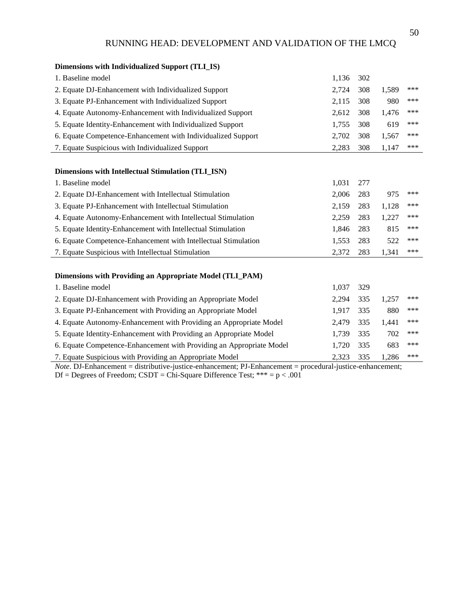| <b>Dimensions with Individualized Support (TLI_IS)</b>               |       |     |       |     |
|----------------------------------------------------------------------|-------|-----|-------|-----|
| 1. Baseline model                                                    | 1,136 | 302 |       |     |
| 2. Equate DJ-Enhancement with Individualized Support                 | 2,724 | 308 | 1,589 | *** |
| 3. Equate PJ-Enhancement with Individualized Support                 | 2,115 | 308 | 980   | *** |
| 4. Equate Autonomy-Enhancement with Individualized Support           | 2,612 | 308 | 1,476 | *** |
| 5. Equate Identity-Enhancement with Individualized Support           | 1,755 | 308 | 619   | *** |
| 6. Equate Competence-Enhancement with Individualized Support         | 2,702 | 308 | 1,567 | *** |
| 7. Equate Suspicious with Individualized Support                     | 2,283 | 308 | 1,147 | *** |
|                                                                      |       |     |       |     |
| Dimensions with Intellectual Stimulation (TLI_ISN)                   |       |     |       |     |
| 1. Baseline model                                                    | 1,031 | 277 |       |     |
| 2. Equate DJ-Enhancement with Intellectual Stimulation               | 2,006 | 283 | 975   | *** |
| 3. Equate PJ-Enhancement with Intellectual Stimulation               | 2,159 | 283 | 1,128 | *** |
| 4. Equate Autonomy-Enhancement with Intellectual Stimulation         | 2,259 | 283 | 1,227 | *** |
| 5. Equate Identity-Enhancement with Intellectual Stimulation         | 1,846 | 283 | 815   | *** |
| 6. Equate Competence-Enhancement with Intellectual Stimulation       | 1,553 | 283 | 522   | *** |
| 7. Equate Suspicious with Intellectual Stimulation                   | 2,372 | 283 | 1,341 | *** |
|                                                                      |       |     |       |     |
| Dimensions with Providing an Appropriate Model (TLI_PAM)             |       |     |       |     |
| 1. Baseline model                                                    | 1,037 | 329 |       |     |
| 2. Equate DJ-Enhancement with Providing an Appropriate Model         | 2,294 | 335 | 1,257 | *** |
| 3. Equate PJ-Enhancement with Providing an Appropriate Model         | 1,917 | 335 | 880   | *** |
| 4. Equate Autonomy-Enhancement with Providing an Appropriate Model   | 2,479 | 335 | 1,441 | *** |
| 5. Equate Identity-Enhancement with Providing an Appropriate Model   | 1,739 | 335 | 702   | *** |
| 6. Equate Competence-Enhancement with Providing an Appropriate Model | 1,720 | 335 | 683   | *** |
| 7. Equate Suspicious with Providing an Appropriate Model             | 2,323 | 335 | 1,286 | *** |

*Note*. DJ-Enhancement = distributive-justice-enhancement; PJ-Enhancement = procedural-justice-enhancement; Df = Degrees of Freedom;  $CSDT = Chi-Square$  Difference Test; \*\*\* =  $p < .001$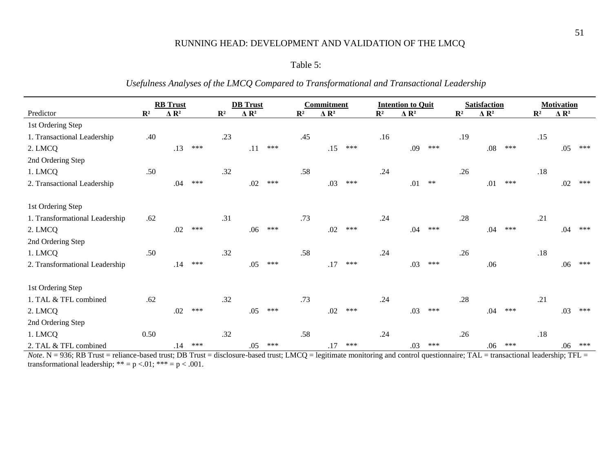## Table 5:

*Usefulness Analyses of the LMCQ Compared to Transformational and Transactional Leadership*

|                                | <b>RB</b> Trust |                         | <b>DB</b> Trust |                | <b>Commitment</b>       |     |                |                         | <b>Intention to Quit</b> |                |                         | <b>Satisfaction</b> | <b>Motivation</b> |                          |     |                |                          |     |
|--------------------------------|-----------------|-------------------------|-----------------|----------------|-------------------------|-----|----------------|-------------------------|--------------------------|----------------|-------------------------|---------------------|-------------------|--------------------------|-----|----------------|--------------------------|-----|
| Predictor                      | $\mathbb{R}^2$  | $\Delta$ R <sup>2</sup> |                 | $\mathbb{R}^2$ | $\Delta$ R <sup>2</sup> |     | $\mathbb{R}^2$ | $\Delta$ R <sup>2</sup> |                          | $\mathbb{R}^2$ | $\Delta$ R <sup>2</sup> |                     | $\mathbb{R}^2$    | $\Lambda$ R <sup>2</sup> |     | $\mathbf{R}^2$ | $\Lambda$ R <sup>2</sup> |     |
| 1st Ordering Step              |                 |                         |                 |                |                         |     |                |                         |                          |                |                         |                     |                   |                          |     |                |                          |     |
| 1. Transactional Leadership    | .40             |                         |                 | .23            |                         |     | .45            |                         |                          | .16            |                         |                     | .19               |                          |     | .15            |                          |     |
| 2. LMCQ                        |                 | .13                     | ***             |                | .11                     | *** |                | .15                     | ***                      |                | .09                     | ***                 |                   | .08                      | *** |                | .05                      | *** |
| 2nd Ordering Step              |                 |                         |                 |                |                         |     |                |                         |                          |                |                         |                     |                   |                          |     |                |                          |     |
| 1. LMCQ                        | .50             |                         |                 | .32            |                         |     | .58            |                         |                          | .24            |                         |                     | .26               |                          |     | .18            |                          |     |
| 2. Transactional Leadership    |                 | .04                     | ***             |                | .02                     | *** |                | .03                     | ***                      |                | .01                     | $**$                |                   | .01                      | *** |                | .02                      | *** |
|                                |                 |                         |                 |                |                         |     |                |                         |                          |                |                         |                     |                   |                          |     |                |                          |     |
| 1st Ordering Step              |                 |                         |                 |                |                         |     |                |                         |                          |                |                         |                     |                   |                          |     |                |                          |     |
| 1. Transformational Leadership | .62             |                         |                 | .31            |                         |     | .73            |                         |                          | .24            |                         |                     | .28               |                          |     | .21            |                          |     |
| 2. LMCQ                        |                 | .02                     | ***             |                | .06                     | *** |                | .02                     | ***                      |                | .04                     | ***                 |                   | .04                      | *** |                | .04                      | *** |
| 2nd Ordering Step              |                 |                         |                 |                |                         |     |                |                         |                          |                |                         |                     |                   |                          |     |                |                          |     |
| 1. LMCQ                        | .50             |                         |                 | .32            |                         |     | .58            |                         |                          | .24            |                         |                     | .26               |                          |     | .18            |                          |     |
| 2. Transformational Leadership |                 | .14                     | ***             |                | .05                     | *** |                | .17                     | ***                      |                | .03                     | ***                 |                   | .06                      |     |                | .06                      | *** |
|                                |                 |                         |                 |                |                         |     |                |                         |                          |                |                         |                     |                   |                          |     |                |                          |     |
| 1st Ordering Step              |                 |                         |                 |                |                         |     |                |                         |                          |                |                         |                     |                   |                          |     |                |                          |     |
| 1. TAL & TFL combined          | .62             |                         |                 | .32            |                         |     | .73            |                         |                          | .24            |                         |                     | .28               |                          |     | .21            |                          |     |
| 2. LMCQ                        |                 | .02                     | ***             |                | .05                     | *** |                | .02                     | ***                      |                | .03                     | ***                 |                   | .04                      | *** |                | .03                      | *** |
| 2nd Ordering Step              |                 |                         |                 |                |                         |     |                |                         |                          |                |                         |                     |                   |                          |     |                |                          |     |
| 1. LMCQ                        | 0.50            |                         |                 | .32            |                         |     | .58            |                         |                          | .24            |                         |                     | .26               |                          |     | .18            |                          |     |
| 2. TAL & TFL combined          |                 | .14                     | ***             |                | .05                     | *** |                | .17                     | ***                      |                | .03                     | ***                 |                   | .06                      | *** |                | .06                      | *** |

*Note*. N = 936; RB Trust = reliance-based trust; DB Trust = disclosure-based trust; LMCQ = legitimate monitoring and control questionnaire; TAL = transactional leadership; TFL = transformational leadership; \*\* = p <.01; \*\*\* = p < .001.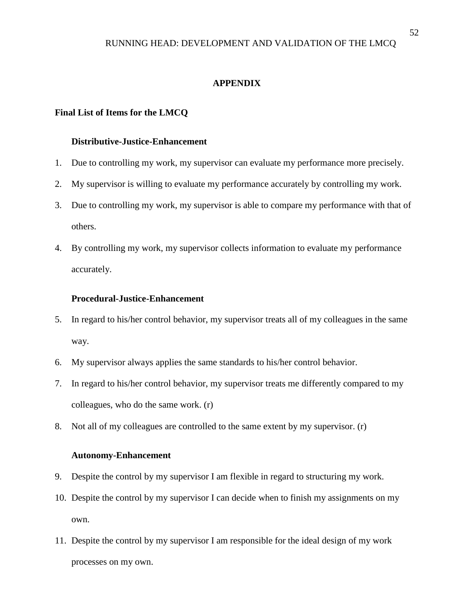## **APPENDIX**

#### **Final List of Items for the LMCQ**

## **Distributive-Justice-Enhancement**

- 1. Due to controlling my work, my supervisor can evaluate my performance more precisely.
- 2. My supervisor is willing to evaluate my performance accurately by controlling my work.
- 3. Due to controlling my work, my supervisor is able to compare my performance with that of others.
- 4. By controlling my work, my supervisor collects information to evaluate my performance accurately.

#### **Procedural-Justice-Enhancement**

- 5. In regard to his/her control behavior, my supervisor treats all of my colleagues in the same way.
- 6. My supervisor always applies the same standards to his/her control behavior.
- 7. In regard to his/her control behavior, my supervisor treats me differently compared to my colleagues, who do the same work. (r)
- 8. Not all of my colleagues are controlled to the same extent by my supervisor. (r)

#### **Autonomy-Enhancement**

- 9. Despite the control by my supervisor I am flexible in regard to structuring my work.
- 10. Despite the control by my supervisor I can decide when to finish my assignments on my own.
- 11. Despite the control by my supervisor I am responsible for the ideal design of my work processes on my own.